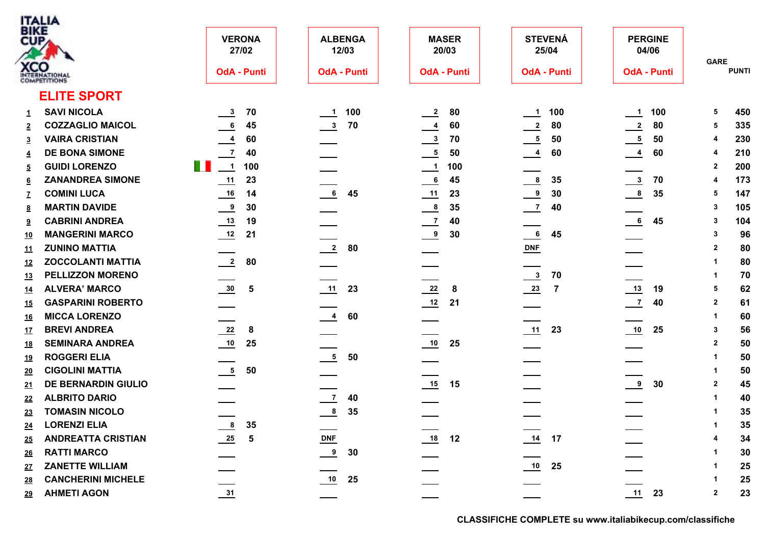| ITALIA                  |
|-------------------------|
| <b>BIKE</b>             |
|                         |
|                         |
|                         |
| JNA<br><b>PETITIONS</b> |

| <b>BIKE</b><br>CUP | <b>XCO</b><br>INTERNATIONAL | <b>VERONA</b><br>27/02<br><b>OdA - Punti</b>         | <b>ALBENGA</b><br>12/03<br><b>OdA - Punti</b> | <b>MASER</b><br>20/03<br><b>OdA - Punti</b> | <b>STEVENÁ</b><br>25/04<br><b>OdA - Punti</b> | <b>PERGINE</b><br>04/06<br><b>OdA - Punti</b> | <b>GARE</b><br><b>PUNTI</b> |
|--------------------|-----------------------------|------------------------------------------------------|-----------------------------------------------|---------------------------------------------|-----------------------------------------------|-----------------------------------------------|-----------------------------|
|                    | <b>ELITE SPORT</b>          |                                                      |                                               |                                             |                                               |                                               |                             |
|                    | <b>SAVI NICOLA</b>          | 70                                                   | 100                                           | 80                                          | 100                                           | 100                                           | 450<br>5                    |
| $\mathbf{1}$       | <b>COZZAGLIO MAICOL</b>     | $\frac{3}{2}$<br>$\frac{6}{1}$<br>45                 | $\frac{1}{2}$<br>70                           | $\overline{2}$<br>60                        | $\frac{1}{2}$<br>80                           | $\frac{1}{1}$<br>$\frac{2}{2}$<br>80          | 335<br>5                    |
| $\overline{2}$     | <b>VAIRA CRISTIAN</b>       |                                                      | $\frac{3}{2}$                                 | $\frac{4}{1}$<br>70                         | $\frac{2}{2}$<br>50                           |                                               | 230<br>4                    |
| $\overline{3}$     | <b>DE BONA SIMONE</b>       | $\frac{4}{1}$<br>60                                  |                                               | $\frac{3}{2}$                               | $\frac{5}{1}$                                 | $\overline{\phantom{0}}$<br>50                | 4                           |
| $\overline{4}$     | <b>GUIDI LORENZO</b>        | $\overline{7}$<br>40<br>T H<br>$\overline{1}$<br>100 |                                               | $\frac{5}{1}$<br>50<br>100                  | $\frac{4}{1}$<br>60                           | $\frac{4}{1}$<br>60                           | 210<br>200                  |
| $\overline{5}$     |                             |                                                      |                                               | $\overline{\phantom{0}}$ 1                  |                                               |                                               | $\mathbf{2}$                |
| 6                  | <b>ZANANDREA SIMONE</b>     | 11<br>23                                             |                                               | $\overline{6}$<br>45                        | $\frac{8}{1}$<br>35                           | $\frac{3}{2}$<br>70                           | 173<br>4                    |
| $\mathbf{Z}$       | <b>COMINI LUCA</b>          | 14                                                   | $\frac{6}{1}$<br>45                           | $\frac{11}{1}$<br>23                        | $\frac{9}{2}$<br>30                           | $\frac{8}{1}$<br>35                           | 147<br>5                    |
| 8                  | <b>MARTIN DAVIDE</b>        | $\frac{9}{2}$<br>30                                  |                                               | $^{\circ}$<br>35                            | $\frac{7}{2}$<br>40                           |                                               | 105<br>$\mathbf{3}$         |
| 9                  | <b>CABRINI ANDREA</b>       | $\frac{13}{2}$<br>19                                 |                                               | $\frac{7}{2}$<br>40                         |                                               | 6<br>45                                       | 104<br>3                    |
| <u>10</u>          | <b>MANGERINI MARCO</b>      | $\frac{12}{2}$<br>21                                 |                                               | $^{9}$<br>30                                | 6<br>45                                       |                                               | 96<br>$\mathbf{3}$          |
| <u>11</u>          | <b>ZUNINO MATTIA</b>        |                                                      | $\frac{2}{2}$<br>80                           |                                             | $DNF$                                         |                                               | 80<br>$\overline{2}$        |
| <u>12</u>          | <b>ZOCCOLANTI MATTIA</b>    | $\overline{\phantom{2}}$<br>80                       |                                               |                                             |                                               |                                               | 80<br>1                     |
| <u>13</u>          | <b>PELLIZZON MORENO</b>     |                                                      |                                               |                                             | $\frac{3}{2}$<br>70                           |                                               | 70<br>1                     |
| <u>14</u>          | <b>ALVERA' MARCO</b>        | $\frac{30}{2}$<br>$\overline{\mathbf{5}}$            | $\frac{11}{1}$<br>23                          | $\frac{22}{2}$<br>8                         | $\frac{23}{2}$<br>$\overline{7}$              | $\frac{13}{2}$<br>19                          | 62<br>5                     |
| <u>15</u>          | <b>GASPARINI ROBERTO</b>    |                                                      |                                               | 12<br>21                                    |                                               | $\frac{7}{2}$<br>40                           | $\overline{2}$<br>61        |
| <u>16</u>          | <b>MICCA LORENZO</b>        |                                                      | $\overline{\phantom{0}}$<br>60                |                                             |                                               |                                               | 60<br>$\mathbf 1$           |
| <u>17</u>          | <b>BREVI ANDREA</b>         | $\frac{22}{2}$<br>8                                  |                                               |                                             | 11<br>23                                      | 10<br>25                                      | 56<br>$\mathbf{3}$          |
| <u>18</u>          | <b>SEMINARA ANDREA</b>      | $\frac{10}{1}$<br>25                                 |                                               | 10<br>25                                    |                                               |                                               | 50<br>$\overline{2}$        |
| <u>19</u>          | <b>ROGGERI ELIA</b>         |                                                      | $\frac{5}{2}$<br>50                           |                                             |                                               |                                               | 50<br>1                     |
| 20                 | <b>CIGOLINI MATTIA</b>      | $\overline{\phantom{0}}$<br>50                       |                                               |                                             |                                               |                                               | 50<br>1                     |
| 21                 | <b>DE BERNARDIN GIULIO</b>  |                                                      |                                               | 15<br>15                                    |                                               | $\overset{9}{-}$<br>30                        | 45<br>$\overline{2}$        |
| 22                 | <b>ALBRITO DARIO</b>        |                                                      | $\frac{7}{2}$<br>40                           |                                             |                                               |                                               | 40<br>1                     |
| 23                 | <b>TOMASIN NICOLO</b>       |                                                      | $\frac{8}{1}$<br>35                           |                                             |                                               |                                               | 35<br>1                     |
| <u>24</u>          | <b>LORENZI ELIA</b>         | $\frac{8}{1}$<br>35                                  |                                               |                                             |                                               |                                               | 35<br>1                     |
| 25                 | <b>ANDREATTA CRISTIAN</b>   | $\frac{25}{2}$<br>5                                  | $DNF$                                         | $\underline{\phantom{a}18}$<br>12           | 14<br>17                                      |                                               | 34                          |
| <u>26</u>          | <b>RATTI MARCO</b>          |                                                      | $\frac{9}{2}$<br>30                           |                                             |                                               |                                               | 30                          |
| <u>27</u>          | <b>ZANETTE WILLIAM</b>      |                                                      |                                               |                                             | 25                                            |                                               | 25<br>1                     |
| <u>28</u>          | <b>CANCHERINI MICHELE</b>   |                                                      | $\frac{10}{1}$<br>25                          |                                             |                                               |                                               | 25                          |
| <u>29</u>          | <b>AHMETI AGON</b>          | 31                                                   |                                               |                                             |                                               | 11<br>23                                      | 23<br>$\overline{2}$        |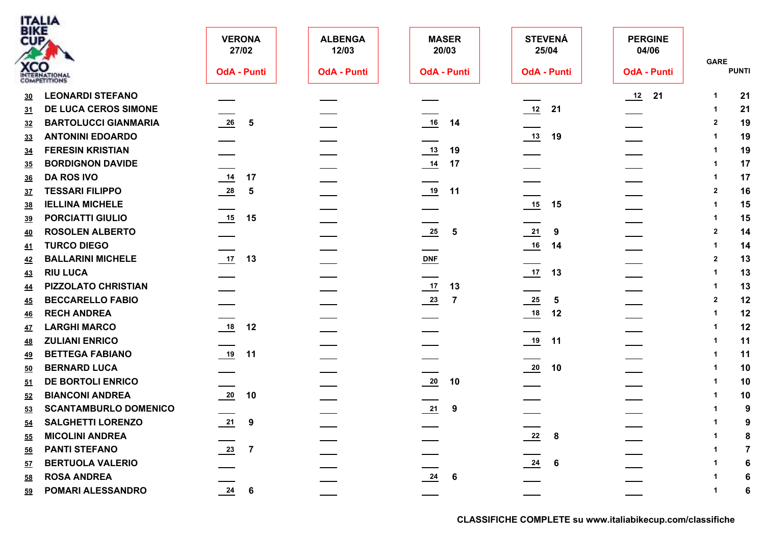| <b>BIKE</b><br><b>STEVENÁ</b><br><b>PERGINE</b><br><b>VERONA</b><br><b>ALBENGA</b><br><b>MASER</b><br>CUP<br>27/02<br>12/03<br>20/03<br>25/04<br>04/06<br><b>GARE</b><br><b>XCO</b><br><b>PUNTI</b><br><b>OdA - Punti</b><br><b>OdA - Punti</b><br><b>OdA - Punti</b><br><b>OdA - Punti</b><br><b>OdA - Punti</b><br><b>COMPETITIONS</b><br><b>LEONARDI STEFANO</b><br>$\frac{12}{2}$<br>21<br>21<br>-1<br>30<br>DE LUCA CEROS SIMONE<br>$\frac{12}{1}$<br>21<br>21<br>-1<br>31<br>$\underline{16}$<br><b>BARTOLUCCI GIANMARIA</b><br>$\frac{26}{1}$<br>19<br>14<br>5<br>$\overline{2}$<br>32<br><b>ANTONINI EDOARDO</b><br>19<br>19<br>-1<br>33<br><b>FERESIN KRISTIAN</b><br>$\frac{13}{2}$<br>19<br>19<br><u>34</u><br><b>BORDIGNON DAVIDE</b><br>$\frac{14}{1}$<br>17<br>17<br>35<br>14<br><b>DA ROS IVO</b><br>17<br>17<br>36<br>$\frac{28}{1}$<br>19<br><b>TESSARI FILIPPO</b><br>11<br>16<br>$\overline{\mathbf{2}}$<br>$-5$<br><u>37</u><br><b>IELLINA MICHELE</b><br>15<br>15<br>15<br><u>38</u><br><b>PORCIATTI GIULIO</b><br>15<br>15<br>15<br><u>39</u><br>$\frac{25}{2}$<br>$\frac{21}{2}$<br><b>ROSOLEN ALBERTO</b><br>14<br>9<br>$\sqrt{5}$<br>$\overline{2}$<br><u>40</u><br><b>TURCO DIEGO</b><br>16<br>14<br>14<br><u>41</u><br>$\frac{17}{2}$<br>$DNF$<br><b>BALLARINI MICHELE</b><br>13<br>13<br>$\overline{\mathbf{2}}$<br><u>42</u><br><b>RIU LUCA</b><br>$\frac{17}{2}$<br>13<br>13<br>43<br>$\frac{17}{2}$<br>PIZZOLATO CHRISTIAN<br>13<br>13<br>-1<br>44<br><b>BECCARELLO FABIO</b><br>$\frac{23}{2}$<br>$\frac{25}{2}$<br>12<br>5<br>$\overline{2}$<br>$\overline{7}$<br><u>45</u><br><b>RECH ANDREA</b><br>18<br>12<br>12<br>-1<br><u>46</u><br><b>LARGHI MARCO</b><br>$\underline{\qquad 18}$<br>12<br>12<br>47<br>19<br><b>ZULIANI ENRICO</b><br>11<br>11<br><u>48</u><br>$\frac{19}{1}$<br><b>BETTEGA FABIANO</b><br>11<br>11<br><u>49</u><br>$\frac{20}{1}$<br><b>BERNARD LUCA</b><br>10<br>10<br>50<br>DE BORTOLI ENRICO<br>$\frac{20}{1}$<br>10<br>10<br>51<br>$\frac{20}{2}$<br><b>BIANCONI ANDREA</b><br>10<br>10<br>52<br>$\frac{21}{2}$<br><b>SCANTAMBURLO DOMENICO</b><br>9<br>9<br>53<br>$\underline{54}$<br><b>SALGHETTI LORENZO</b><br><u>21</u><br>9<br>9<br>$\frac{22}{2}$<br><b>MICOLINI ANDREA</b><br>8<br>8<br>55<br>$\frac{23}{2}$<br><b>PANTI STEFANO</b><br>-7<br><u>56</u><br><b>BERTUOLA VALERIO</b><br>$\frac{24}{1}$<br>6<br>6<br>57<br>$\frac{24}{1}$ 6<br><b>ROSA ANDREA</b><br>58<br>6 |    | <b>ITALIA</b>     |                                              |  |  |   |
|------------------------------------------------------------------------------------------------------------------------------------------------------------------------------------------------------------------------------------------------------------------------------------------------------------------------------------------------------------------------------------------------------------------------------------------------------------------------------------------------------------------------------------------------------------------------------------------------------------------------------------------------------------------------------------------------------------------------------------------------------------------------------------------------------------------------------------------------------------------------------------------------------------------------------------------------------------------------------------------------------------------------------------------------------------------------------------------------------------------------------------------------------------------------------------------------------------------------------------------------------------------------------------------------------------------------------------------------------------------------------------------------------------------------------------------------------------------------------------------------------------------------------------------------------------------------------------------------------------------------------------------------------------------------------------------------------------------------------------------------------------------------------------------------------------------------------------------------------------------------------------------------------------------------------------------------------------------------------------------------------------------------------------------------------------------------------------------------------------------------------------------------------------------------------------------------------------------------------------------------------------------------------------------------------------------------------------------------------------------------------------------------------------------------------------------------|----|-------------------|----------------------------------------------|--|--|---|
|                                                                                                                                                                                                                                                                                                                                                                                                                                                                                                                                                                                                                                                                                                                                                                                                                                                                                                                                                                                                                                                                                                                                                                                                                                                                                                                                                                                                                                                                                                                                                                                                                                                                                                                                                                                                                                                                                                                                                                                                                                                                                                                                                                                                                                                                                                                                                                                                                                                |    |                   |                                              |  |  |   |
|                                                                                                                                                                                                                                                                                                                                                                                                                                                                                                                                                                                                                                                                                                                                                                                                                                                                                                                                                                                                                                                                                                                                                                                                                                                                                                                                                                                                                                                                                                                                                                                                                                                                                                                                                                                                                                                                                                                                                                                                                                                                                                                                                                                                                                                                                                                                                                                                                                                |    |                   |                                              |  |  |   |
|                                                                                                                                                                                                                                                                                                                                                                                                                                                                                                                                                                                                                                                                                                                                                                                                                                                                                                                                                                                                                                                                                                                                                                                                                                                                                                                                                                                                                                                                                                                                                                                                                                                                                                                                                                                                                                                                                                                                                                                                                                                                                                                                                                                                                                                                                                                                                                                                                                                |    |                   |                                              |  |  |   |
|                                                                                                                                                                                                                                                                                                                                                                                                                                                                                                                                                                                                                                                                                                                                                                                                                                                                                                                                                                                                                                                                                                                                                                                                                                                                                                                                                                                                                                                                                                                                                                                                                                                                                                                                                                                                                                                                                                                                                                                                                                                                                                                                                                                                                                                                                                                                                                                                                                                |    |                   |                                              |  |  |   |
|                                                                                                                                                                                                                                                                                                                                                                                                                                                                                                                                                                                                                                                                                                                                                                                                                                                                                                                                                                                                                                                                                                                                                                                                                                                                                                                                                                                                                                                                                                                                                                                                                                                                                                                                                                                                                                                                                                                                                                                                                                                                                                                                                                                                                                                                                                                                                                                                                                                |    |                   |                                              |  |  |   |
|                                                                                                                                                                                                                                                                                                                                                                                                                                                                                                                                                                                                                                                                                                                                                                                                                                                                                                                                                                                                                                                                                                                                                                                                                                                                                                                                                                                                                                                                                                                                                                                                                                                                                                                                                                                                                                                                                                                                                                                                                                                                                                                                                                                                                                                                                                                                                                                                                                                |    |                   |                                              |  |  |   |
|                                                                                                                                                                                                                                                                                                                                                                                                                                                                                                                                                                                                                                                                                                                                                                                                                                                                                                                                                                                                                                                                                                                                                                                                                                                                                                                                                                                                                                                                                                                                                                                                                                                                                                                                                                                                                                                                                                                                                                                                                                                                                                                                                                                                                                                                                                                                                                                                                                                |    |                   |                                              |  |  |   |
|                                                                                                                                                                                                                                                                                                                                                                                                                                                                                                                                                                                                                                                                                                                                                                                                                                                                                                                                                                                                                                                                                                                                                                                                                                                                                                                                                                                                                                                                                                                                                                                                                                                                                                                                                                                                                                                                                                                                                                                                                                                                                                                                                                                                                                                                                                                                                                                                                                                |    |                   |                                              |  |  |   |
|                                                                                                                                                                                                                                                                                                                                                                                                                                                                                                                                                                                                                                                                                                                                                                                                                                                                                                                                                                                                                                                                                                                                                                                                                                                                                                                                                                                                                                                                                                                                                                                                                                                                                                                                                                                                                                                                                                                                                                                                                                                                                                                                                                                                                                                                                                                                                                                                                                                |    |                   |                                              |  |  |   |
|                                                                                                                                                                                                                                                                                                                                                                                                                                                                                                                                                                                                                                                                                                                                                                                                                                                                                                                                                                                                                                                                                                                                                                                                                                                                                                                                                                                                                                                                                                                                                                                                                                                                                                                                                                                                                                                                                                                                                                                                                                                                                                                                                                                                                                                                                                                                                                                                                                                |    |                   |                                              |  |  |   |
|                                                                                                                                                                                                                                                                                                                                                                                                                                                                                                                                                                                                                                                                                                                                                                                                                                                                                                                                                                                                                                                                                                                                                                                                                                                                                                                                                                                                                                                                                                                                                                                                                                                                                                                                                                                                                                                                                                                                                                                                                                                                                                                                                                                                                                                                                                                                                                                                                                                |    |                   |                                              |  |  |   |
|                                                                                                                                                                                                                                                                                                                                                                                                                                                                                                                                                                                                                                                                                                                                                                                                                                                                                                                                                                                                                                                                                                                                                                                                                                                                                                                                                                                                                                                                                                                                                                                                                                                                                                                                                                                                                                                                                                                                                                                                                                                                                                                                                                                                                                                                                                                                                                                                                                                |    |                   |                                              |  |  |   |
|                                                                                                                                                                                                                                                                                                                                                                                                                                                                                                                                                                                                                                                                                                                                                                                                                                                                                                                                                                                                                                                                                                                                                                                                                                                                                                                                                                                                                                                                                                                                                                                                                                                                                                                                                                                                                                                                                                                                                                                                                                                                                                                                                                                                                                                                                                                                                                                                                                                |    |                   |                                              |  |  |   |
|                                                                                                                                                                                                                                                                                                                                                                                                                                                                                                                                                                                                                                                                                                                                                                                                                                                                                                                                                                                                                                                                                                                                                                                                                                                                                                                                                                                                                                                                                                                                                                                                                                                                                                                                                                                                                                                                                                                                                                                                                                                                                                                                                                                                                                                                                                                                                                                                                                                |    |                   |                                              |  |  |   |
|                                                                                                                                                                                                                                                                                                                                                                                                                                                                                                                                                                                                                                                                                                                                                                                                                                                                                                                                                                                                                                                                                                                                                                                                                                                                                                                                                                                                                                                                                                                                                                                                                                                                                                                                                                                                                                                                                                                                                                                                                                                                                                                                                                                                                                                                                                                                                                                                                                                |    |                   |                                              |  |  |   |
|                                                                                                                                                                                                                                                                                                                                                                                                                                                                                                                                                                                                                                                                                                                                                                                                                                                                                                                                                                                                                                                                                                                                                                                                                                                                                                                                                                                                                                                                                                                                                                                                                                                                                                                                                                                                                                                                                                                                                                                                                                                                                                                                                                                                                                                                                                                                                                                                                                                |    |                   |                                              |  |  |   |
|                                                                                                                                                                                                                                                                                                                                                                                                                                                                                                                                                                                                                                                                                                                                                                                                                                                                                                                                                                                                                                                                                                                                                                                                                                                                                                                                                                                                                                                                                                                                                                                                                                                                                                                                                                                                                                                                                                                                                                                                                                                                                                                                                                                                                                                                                                                                                                                                                                                |    |                   |                                              |  |  |   |
|                                                                                                                                                                                                                                                                                                                                                                                                                                                                                                                                                                                                                                                                                                                                                                                                                                                                                                                                                                                                                                                                                                                                                                                                                                                                                                                                                                                                                                                                                                                                                                                                                                                                                                                                                                                                                                                                                                                                                                                                                                                                                                                                                                                                                                                                                                                                                                                                                                                |    |                   |                                              |  |  |   |
|                                                                                                                                                                                                                                                                                                                                                                                                                                                                                                                                                                                                                                                                                                                                                                                                                                                                                                                                                                                                                                                                                                                                                                                                                                                                                                                                                                                                                                                                                                                                                                                                                                                                                                                                                                                                                                                                                                                                                                                                                                                                                                                                                                                                                                                                                                                                                                                                                                                |    |                   |                                              |  |  |   |
|                                                                                                                                                                                                                                                                                                                                                                                                                                                                                                                                                                                                                                                                                                                                                                                                                                                                                                                                                                                                                                                                                                                                                                                                                                                                                                                                                                                                                                                                                                                                                                                                                                                                                                                                                                                                                                                                                                                                                                                                                                                                                                                                                                                                                                                                                                                                                                                                                                                |    |                   |                                              |  |  |   |
|                                                                                                                                                                                                                                                                                                                                                                                                                                                                                                                                                                                                                                                                                                                                                                                                                                                                                                                                                                                                                                                                                                                                                                                                                                                                                                                                                                                                                                                                                                                                                                                                                                                                                                                                                                                                                                                                                                                                                                                                                                                                                                                                                                                                                                                                                                                                                                                                                                                |    |                   |                                              |  |  |   |
|                                                                                                                                                                                                                                                                                                                                                                                                                                                                                                                                                                                                                                                                                                                                                                                                                                                                                                                                                                                                                                                                                                                                                                                                                                                                                                                                                                                                                                                                                                                                                                                                                                                                                                                                                                                                                                                                                                                                                                                                                                                                                                                                                                                                                                                                                                                                                                                                                                                |    |                   |                                              |  |  |   |
|                                                                                                                                                                                                                                                                                                                                                                                                                                                                                                                                                                                                                                                                                                                                                                                                                                                                                                                                                                                                                                                                                                                                                                                                                                                                                                                                                                                                                                                                                                                                                                                                                                                                                                                                                                                                                                                                                                                                                                                                                                                                                                                                                                                                                                                                                                                                                                                                                                                |    |                   |                                              |  |  |   |
|                                                                                                                                                                                                                                                                                                                                                                                                                                                                                                                                                                                                                                                                                                                                                                                                                                                                                                                                                                                                                                                                                                                                                                                                                                                                                                                                                                                                                                                                                                                                                                                                                                                                                                                                                                                                                                                                                                                                                                                                                                                                                                                                                                                                                                                                                                                                                                                                                                                |    |                   |                                              |  |  |   |
|                                                                                                                                                                                                                                                                                                                                                                                                                                                                                                                                                                                                                                                                                                                                                                                                                                                                                                                                                                                                                                                                                                                                                                                                                                                                                                                                                                                                                                                                                                                                                                                                                                                                                                                                                                                                                                                                                                                                                                                                                                                                                                                                                                                                                                                                                                                                                                                                                                                |    |                   |                                              |  |  |   |
|                                                                                                                                                                                                                                                                                                                                                                                                                                                                                                                                                                                                                                                                                                                                                                                                                                                                                                                                                                                                                                                                                                                                                                                                                                                                                                                                                                                                                                                                                                                                                                                                                                                                                                                                                                                                                                                                                                                                                                                                                                                                                                                                                                                                                                                                                                                                                                                                                                                |    |                   |                                              |  |  |   |
|                                                                                                                                                                                                                                                                                                                                                                                                                                                                                                                                                                                                                                                                                                                                                                                                                                                                                                                                                                                                                                                                                                                                                                                                                                                                                                                                                                                                                                                                                                                                                                                                                                                                                                                                                                                                                                                                                                                                                                                                                                                                                                                                                                                                                                                                                                                                                                                                                                                |    |                   |                                              |  |  |   |
|                                                                                                                                                                                                                                                                                                                                                                                                                                                                                                                                                                                                                                                                                                                                                                                                                                                                                                                                                                                                                                                                                                                                                                                                                                                                                                                                                                                                                                                                                                                                                                                                                                                                                                                                                                                                                                                                                                                                                                                                                                                                                                                                                                                                                                                                                                                                                                                                                                                |    |                   |                                              |  |  |   |
|                                                                                                                                                                                                                                                                                                                                                                                                                                                                                                                                                                                                                                                                                                                                                                                                                                                                                                                                                                                                                                                                                                                                                                                                                                                                                                                                                                                                                                                                                                                                                                                                                                                                                                                                                                                                                                                                                                                                                                                                                                                                                                                                                                                                                                                                                                                                                                                                                                                |    |                   |                                              |  |  |   |
|                                                                                                                                                                                                                                                                                                                                                                                                                                                                                                                                                                                                                                                                                                                                                                                                                                                                                                                                                                                                                                                                                                                                                                                                                                                                                                                                                                                                                                                                                                                                                                                                                                                                                                                                                                                                                                                                                                                                                                                                                                                                                                                                                                                                                                                                                                                                                                                                                                                |    |                   |                                              |  |  |   |
|                                                                                                                                                                                                                                                                                                                                                                                                                                                                                                                                                                                                                                                                                                                                                                                                                                                                                                                                                                                                                                                                                                                                                                                                                                                                                                                                                                                                                                                                                                                                                                                                                                                                                                                                                                                                                                                                                                                                                                                                                                                                                                                                                                                                                                                                                                                                                                                                                                                |    |                   |                                              |  |  |   |
|                                                                                                                                                                                                                                                                                                                                                                                                                                                                                                                                                                                                                                                                                                                                                                                                                                                                                                                                                                                                                                                                                                                                                                                                                                                                                                                                                                                                                                                                                                                                                                                                                                                                                                                                                                                                                                                                                                                                                                                                                                                                                                                                                                                                                                                                                                                                                                                                                                                | 59 | POMARI ALESSANDRO | $\frac{24}{1}$<br>$\overline{\phantom{a}}$ 6 |  |  | 6 |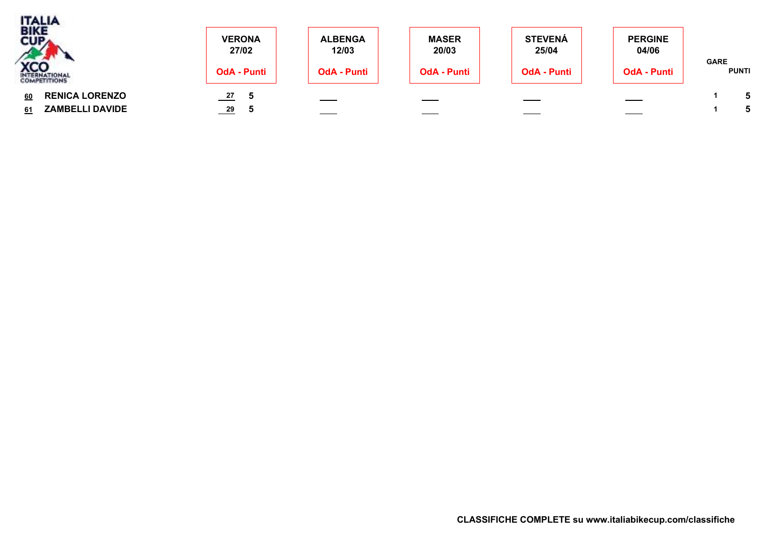| <b>TALIA</b><br>BIKE<br>CUPA                                | <b>VERONA</b><br>27/02       | <b>ALBENGA</b><br>12/03        | <b>MASER</b><br>20/03 | <b>STEVENÁ</b><br>25/04  | <b>PERGINE</b><br>04/06 |                             |
|-------------------------------------------------------------|------------------------------|--------------------------------|-----------------------|--------------------------|-------------------------|-----------------------------|
| <b>XCO</b>                                                  | <b>OdA - Punti</b>           | <b>OdA - Punti</b>             | <b>OdA - Punti</b>    | <b>OdA - Punti</b>       | <b>OdA - Punti</b>      | <b>GARE</b><br><b>PUNTI</b> |
| <b>RENICA LORENZO</b><br>60<br><b>ZAMBELLI DAVIDE</b><br>61 | $\frac{27}{2}$<br>29<br>____ | $\overbrace{\hspace{25mm}}^{}$ | $\sim$                | $\overline{\phantom{a}}$ | ____                    |                             |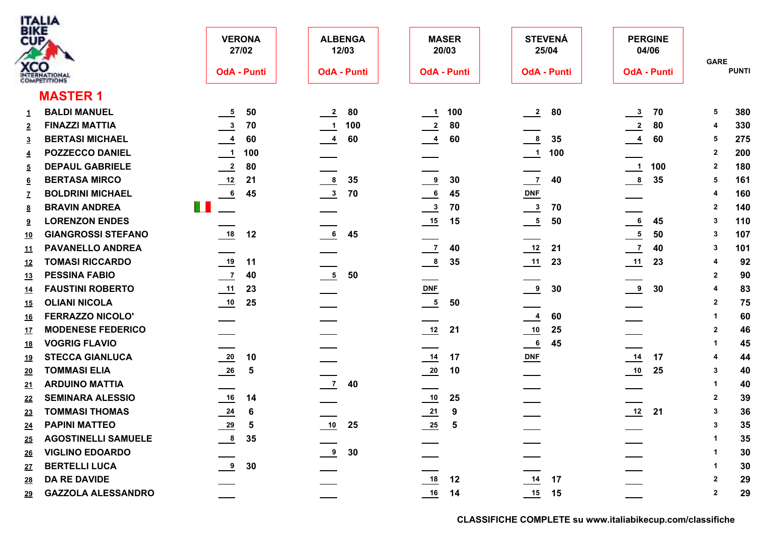| <b>BIKE</b><br>CUP | <b>XCO</b><br>INTERNATIONAL | <b>VERONA</b><br>27/02<br><b>OdA - Punti</b> | <b>ALBENGA</b><br>12/03<br><b>OdA - Punti</b> | <b>MASER</b><br>20/03<br><b>OdA - Punti</b> | <b>STEVENÁ</b><br>25/04<br><b>OdA - Punti</b> | <b>PERGINE</b><br>04/06<br><b>OdA - Punti</b> | <b>GARE</b><br><b>PUNTI</b> |
|--------------------|-----------------------------|----------------------------------------------|-----------------------------------------------|---------------------------------------------|-----------------------------------------------|-----------------------------------------------|-----------------------------|
|                    |                             |                                              |                                               |                                             |                                               |                                               |                             |
|                    | <b>MASTER 1</b>             |                                              |                                               |                                             |                                               |                                               |                             |
| $\mathbf{1}$       | <b>BALDI MANUEL</b>         | ${\bf 50}$<br>$\frac{5}{1}$                  | $\frac{2}{2}$<br>80                           | 100<br>$\frac{1}{2}$                        | $\frac{2}{2}$<br>80                           | $\frac{3}{2}$<br>70                           | 380<br>5                    |
| $\overline{2}$     | <b>FINAZZI MATTIA</b>       | $\frac{3}{2}$<br>70                          | $\overline{\phantom{a}}$<br>100               | $\frac{2}{2}$<br>80                         |                                               | $\frac{2}{2}$<br>80                           | 330<br>4                    |
| $\overline{3}$     | <b>BERTASI MICHAEL</b>      | $\frac{4}{1}$<br>60                          | $\frac{4}{1}$<br>60                           | $\frac{4}{1}$<br>60                         | $\frac{8}{2}$<br>35                           | $\frac{4}{1}$<br>60                           | 275<br>5                    |
| $\overline{4}$     | <b>POZZECCO DANIEL</b>      | $\frac{1}{\sqrt{1}}$<br>100                  |                                               |                                             | $\frac{1}{\sqrt{1}}$<br>100                   |                                               | 200<br>$\mathbf{2}$         |
| $\overline{5}$     | <b>DEPAUL GABRIELE</b>      | $\frac{2}{\sqrt{2}}$<br>80                   |                                               |                                             |                                               | $\frac{1}{2}$<br>100                          | 180<br>$\overline{2}$       |
| $6\overline{6}$    | <b>BERTASA MIRCO</b>        | $\frac{12}{2}$<br>21                         | $\frac{8}{2}$<br>35                           | $\overline{\bullet}$<br>30                  | $\frac{7}{2}$<br>40                           | $\frac{8}{1}$<br>35                           | 161<br>5                    |
| <u>7</u>           | <b>BOLDRINI MICHAEL</b>     | $\,$ 6 $\,$<br>45                            | $\frac{3}{2}$<br>70                           | 6<br>45                                     | $DNF$                                         |                                               | 160                         |
| 8                  | <b>BRAVIN ANDREA</b>        | $\mathbb{R}^n$                               |                                               | $\frac{3}{2}$<br>70                         | $\frac{3}{2}$<br>70                           |                                               | 140<br>$\mathbf{2}$         |
| 9                  | <b>LORENZON ENDES</b>       |                                              |                                               | 15                                          | $\frac{5}{1}$<br>50                           | $\frac{6}{ }$<br>45                           | 110<br>3                    |
| 10                 | <b>GIANGROSSI STEFANO</b>   | $\underline{\mathbf{18}}$<br>12              | $\frac{6}{1}$<br>45                           |                                             |                                               | $\overline{\phantom{0}}$<br>50                | 107<br>3                    |
| <u>11</u>          | <b>PAVANELLO ANDREA</b>     |                                              |                                               | 40<br>$\overline{z}$                        | 12<br>21                                      | $\frac{7}{2}$<br>40                           | 101<br>3                    |
| <u>12</u>          | <b>TOMASI RICCARDO</b>      | $\frac{19}{2}$<br>11                         |                                               | $\frac{8}{1}$<br>35                         | 11<br>23                                      | 23                                            | 92<br>4                     |
| <u>13</u>          | <b>PESSINA FABIO</b>        | $\frac{7}{2}$<br>40                          | $\frac{5}{10}$ 50                             |                                             |                                               |                                               | 90<br>$\mathbf{2}$          |
| <u>14</u>          | <b>FAUSTINI ROBERTO</b>     | 11<br>23                                     |                                               | <b>DNF</b>                                  | $^{9}$<br>30                                  | $\frac{9}{2}$<br>30                           | 83<br>4                     |
| <u>15</u>          | <b>OLIANI NICOLA</b>        | 10<br>25                                     |                                               | $\frac{5}{1}$<br>50                         |                                               |                                               | 75<br>$\overline{2}$        |
| <u> 16</u>         | <b>FERRAZZO NICOLO'</b>     |                                              |                                               |                                             | 60<br>$\frac{4}{1}$                           |                                               | 60<br>$\mathbf{1}$          |
| <u>17</u>          | <b>MODENESE FEDERICO</b>    |                                              |                                               | 21                                          | $\overline{\phantom{0}10}$<br>25              |                                               | 46<br>$\mathbf{2}$          |
| <u>18</u>          | <b>VOGRIG FLAVIO</b>        |                                              |                                               |                                             | $\frac{6}{1}$<br>45                           |                                               | 45<br>-1                    |
| <u>19</u>          | <b>STECCA GIANLUCA</b>      | $\frac{20}{1}$<br>10                         |                                               | $\frac{14}{1}$<br>17                        | $DNF$                                         | 17                                            | 44<br>4                     |
| 20                 | <b>TOMMASI ELIA</b>         | $\frac{26}{1}$<br>$\sqrt{5}$                 |                                               | $\frac{20}{1}$<br>10                        |                                               | $\overline{\phantom{0}10}$<br>25              | 40<br>3                     |
| 21                 | <b>ARDUINO MATTIA</b>       |                                              | $\frac{7}{2}$<br>40                           |                                             |                                               |                                               | 40<br>$\mathbf{1}$          |
| 22                 | <b>SEMINARA ALESSIO</b>     | $\underline{\qquad 16}$<br>14                |                                               | $\frac{10}{1}$<br>25                        |                                               |                                               | 39<br>$\overline{2}$        |
| <u>23</u>          | <b>TOMMASI THOMAS</b>       | $\frac{24}{1}$<br>6                          |                                               | $\frac{21}{2}$<br>9                         |                                               | 12<br>21                                      | 36<br>3                     |
| <u>24</u>          | <b>PAPINI MATTEO</b>        | $\frac{29}{2}$<br>5                          | 10<br>25                                      | $\frac{25}{2}$<br>5                         |                                               |                                               | 35<br>3                     |
| 25                 | <b>AGOSTINELLI SAMUELE</b>  | $\frac{8}{1}$<br>35                          |                                               |                                             |                                               |                                               | 35<br>1                     |
| <u>26</u>          | <b>VIGLINO EDOARDO</b>      |                                              | $\frac{9}{2}$<br>30                           |                                             |                                               |                                               | 30<br>$\mathbf 1$           |
| <u>27</u>          | <b>BERTELLI LUCA</b>        | 9<br>30                                      |                                               |                                             |                                               |                                               | 30<br>$\mathbf 1$           |
| <u>28</u>          | <b>DA RE DAVIDE</b>         |                                              |                                               | 12                                          | $\frac{14}{1}$<br>17                          |                                               | 29<br>$\overline{2}$        |
| 29                 | <b>GAZZOLA ALESSANDRO</b>   |                                              |                                               | $16$<br>14                                  | 15<br>15                                      |                                               | 29<br>$\overline{2}$        |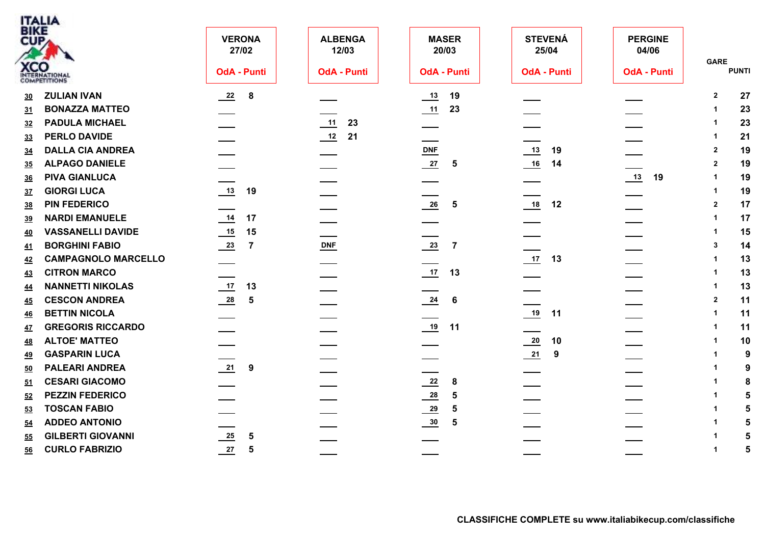|                 | <b>ITALIA</b><br>BIKE       |                                           |                         |                                            |                         |                         |                             |
|-----------------|-----------------------------|-------------------------------------------|-------------------------|--------------------------------------------|-------------------------|-------------------------|-----------------------------|
| CUP             |                             | <b>VERONA</b><br>27/02                    | <b>ALBENGA</b><br>12/03 | <b>MASER</b><br>20/03                      | <b>STEVENÁ</b><br>25/04 | <b>PERGINE</b><br>04/06 |                             |
|                 | <b>XCO</b><br>INTERNATIONAL | <b>OdA - Punti</b>                        | <b>OdA - Punti</b>      | <b>OdA - Punti</b>                         | <b>OdA - Punti</b>      | <b>OdA - Punti</b>      | <b>GARE</b><br><b>PUNTI</b> |
| 30              | <b>ZULIAN IVAN</b>          | $\frac{22}{2}$<br>$\overline{\mathbf{8}}$ |                         | 19<br>13                                   |                         |                         | 27<br>$\mathbf{2}$          |
| 31              | <b>BONAZZA MATTEO</b>       |                                           |                         | $\frac{11}{2}$<br>23                       |                         |                         | 23                          |
| 32              | <b>PADULA MICHAEL</b>       |                                           | 23<br>11                |                                            |                         |                         | 23                          |
| 33              | <b>PERLO DAVIDE</b>         |                                           | $\frac{12}{2}$<br>21    |                                            |                         |                         | 21<br>-1                    |
| 34              | <b>DALLA CIA ANDREA</b>     |                                           |                         | $DNF$                                      | 19                      |                         | 19<br>$\overline{2}$        |
| 35              | <b>ALPAGO DANIELE</b>       |                                           |                         | 27<br>$\sqrt{5}$                           | 16<br>14                |                         | 19<br>$\overline{2}$        |
| 36              | <b>PIVA GIANLUCA</b>        |                                           |                         |                                            |                         | 13<br>19                | 19                          |
| 37              | <b>GIORGI LUCA</b>          | 13<br>19                                  |                         |                                            |                         |                         | 19<br>-1                    |
| 38              | <b>PIN FEDERICO</b>         |                                           |                         | $\frac{26}{1}$<br>$\overline{\phantom{0}}$ | 18<br>12                |                         | 17<br>$\mathbf{2}$          |
| <u>39</u>       | <b>NARDI EMANUELE</b>       | 14<br>17                                  |                         |                                            |                         |                         | 17                          |
| <u>40</u>       | <b>VASSANELLI DAVIDE</b>    | 15                                        |                         |                                            |                         |                         | 15                          |
| <u>41</u>       | <b>BORGHINI FABIO</b>       | $\frac{23}{2}$<br>$\overline{7}$          | <b>DNF</b>              | $\frac{23}{2}$<br>$\overline{7}$           |                         |                         | 14<br>-3                    |
| <u>42</u>       | <b>CAMPAGNOLO MARCELLO</b>  |                                           |                         |                                            | $17$ 13                 |                         | 13                          |
| <u>43</u>       | <b>CITRON MARCO</b>         |                                           |                         | $\frac{17}{2}$<br>13                       |                         |                         | 13<br>-1                    |
| <u>44</u>       | <b>NANNETTI NIKOLAS</b>     | 13                                        |                         |                                            |                         |                         | 13<br>$\mathbf{1}$          |
| 45              | <b>CESCON ANDREA</b>        | $\frac{28}{1}$<br>$5\phantom{1}$          |                         | $\frac{24}{1}$<br>-6                       |                         |                         | 11<br>$\overline{2}$        |
| $\overline{46}$ | <b>BETTIN NICOLA</b>        |                                           |                         |                                            | 19<br>11                |                         | 11<br>$\overline{1}$        |
| 47              | <b>GREGORIS RICCARDO</b>    |                                           |                         | $19$ 11                                    |                         |                         | 11<br>$\overline{1}$        |
| <u>48</u>       | <b>ALTOE' MATTEO</b>        |                                           |                         |                                            | $\frac{20}{1}$<br>10    |                         | 10                          |
| <u>49</u>       | <b>GASPARIN LUCA</b>        |                                           |                         |                                            | $\frac{21}{2}$<br>9     |                         | 9                           |
| 50              | <b>PALEARI ANDREA</b>       | $\frac{21}{1}$ 9                          |                         |                                            |                         |                         | 9<br>-1                     |
| 51              | <b>CESARI GIACOMO</b>       |                                           |                         | $\frac{22}{2}$<br>8                        |                         |                         | 8                           |
| 52              | <b>PEZZIN FEDERICO</b>      |                                           |                         | $\frac{28}{1}$<br>$\sqrt{5}$               |                         |                         | $5\phantom{1}$              |
| 53              | <b>TOSCAN FABIO</b>         |                                           |                         | $\frac{29}{2}$<br>5                        |                         |                         | 5                           |
| <u>54</u>       | <b>ADDEO ANTONIO</b>        |                                           |                         | $\frac{30}{2}$<br>5                        |                         |                         | 5                           |
| 55              | <b>GILBERTI GIOVANNI</b>    | $\frac{25}{2}$<br>5                       |                         |                                            |                         |                         | 5                           |
| 56              | <b>CURLO FABRIZIO</b>       | $\frac{27}{2}$<br>$5\phantom{1}$          |                         |                                            |                         |                         | 5<br>$\mathbf{1}$           |
|                 |                             |                                           |                         |                                            |                         |                         |                             |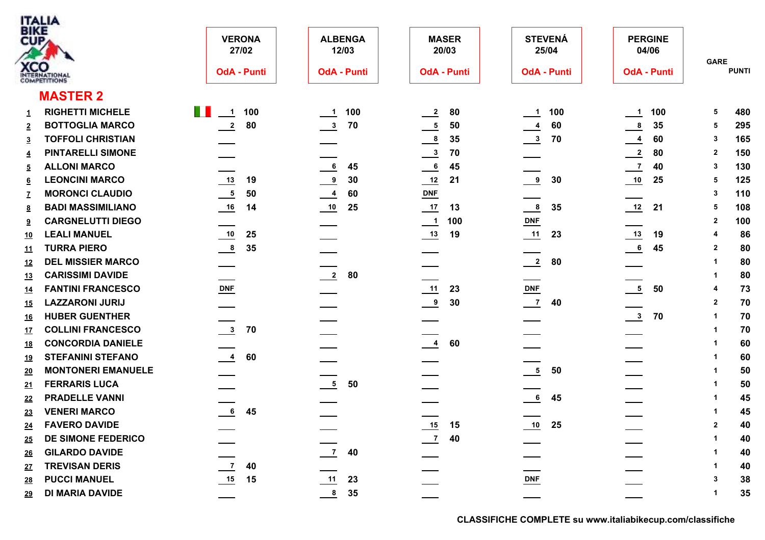

| <b>BIKE</b><br>CUP | <b>XCO</b><br>INTERNATIONAL | <b>VERONA</b><br>27/02<br><b>OdA - Punti</b> | <b>ALBENGA</b><br>12/03<br><b>OdA - Punti</b> | <b>MASER</b><br>20/03<br><b>OdA - Punti</b> | <b>STEVENÁ</b><br>25/04<br><b>OdA - Punti</b> | <b>PERGINE</b><br>04/06<br><b>OdA - Punti</b> | <b>GARE</b>  | <b>PUNTI</b> |
|--------------------|-----------------------------|----------------------------------------------|-----------------------------------------------|---------------------------------------------|-----------------------------------------------|-----------------------------------------------|--------------|--------------|
|                    | <b>MASTER 2</b>             |                                              |                                               |                                             |                                               |                                               |              |              |
| $\mathbf{1}$       | <b>RIGHETTI MICHELE</b>     | <b>The Contract</b><br>$\frac{1}{1}$ 100     | 100<br>$\overline{\phantom{0}}$ 1             | 80<br>$\frac{2}{2}$                         | 100<br>$\frac{1}{\sqrt{1}}$                   | 100<br>$\frac{1}{\sqrt{1}}$                   | 5            | 480          |
| $\overline{2}$     | <b>BOTTOGLIA MARCO</b>      | $\overline{2}$<br>80                         | $\frac{3}{2}$<br>70                           | $\frac{5}{1}$<br>50                         | 60<br>$\frac{4}{1}$                           | $\frac{8}{1}$<br>35                           | 5            | 295          |
| $\overline{3}$     | <b>TOFFOLI CHRISTIAN</b>    |                                              |                                               | $\frac{8}{1}$<br>35                         | $\frac{3}{2}$<br>70                           | $\frac{4}{1}$<br>60                           | 3            | 165          |
| $\overline{4}$     | <b>PINTARELLI SIMONE</b>    |                                              |                                               | $\frac{3}{2}$<br>70                         |                                               | $\frac{2}{2}$<br>80                           | $\mathbf{2}$ | 150          |
| $\overline{5}$     | <b>ALLONI MARCO</b>         |                                              | $\underline{\phantom{a}}$<br>45               | $\frac{6}{1}$<br>45                         |                                               | $\overline{z}$<br>40                          | 3            | 130          |
| $6 \overline{6}$   | <b>LEONCINI MARCO</b>       | 19                                           | $\frac{9}{2}$<br>30                           | $\frac{12}{2}$<br>21                        | $\frac{9}{2}$<br>30                           | 25                                            | 5            | 125          |
| $\mathbf{Z}$       | <b>MORONCI CLAUDIO</b>      | $\frac{5}{1}$<br>50                          | $\frac{4}{1}$<br>60                           | $DNF$                                       |                                               |                                               | 3            | 110          |
| <u>8</u>           | <b>BADI MASSIMILIANO</b>    | 16<br>14                                     | 25                                            | 17<br>13                                    | $\frac{8}{1}$<br>35                           | 12<br>21                                      | 5            | 108          |
| 9                  | <b>CARGNELUTTI DIEGO</b>    |                                              |                                               | 100<br>$\overline{\phantom{a}}$             | $DNF$                                         |                                               | 2            | 100          |
| <u>10</u>          | <b>LEALI MANUEL</b>         | $\frac{10}{1}$<br>25                         |                                               | $\frac{13}{2}$<br>19                        | 23                                            | $\frac{13}{2}$<br>19                          | 4            | 86           |
| <u>11</u>          | <b>TURRA PIERO</b>          | $\frac{8}{1}$<br>35                          |                                               |                                             |                                               | 6<br>45                                       | $\mathbf{2}$ | 80           |
| <u>12</u>          | <b>DEL MISSIER MARCO</b>    |                                              |                                               |                                             | $\frac{2}{\sqrt{2}}$<br>80                    |                                               | 1            | 80           |
| <u>13</u>          | <b>CARISSIMI DAVIDE</b>     |                                              | $\frac{2}{2}$<br>80                           |                                             |                                               |                                               |              | 80           |
| <u>14</u>          | <b>FANTINI FRANCESCO</b>    | $DNF$                                        |                                               | 11<br>23                                    | $DNF$                                         | $rac{5}{2}$<br>50                             | 4            | 73           |
| 15                 | <b>LAZZARONI JURIJ</b>      |                                              |                                               | $\frac{9}{2}$<br>30                         | $\frac{7}{2}$<br>40                           |                                               | $\mathbf{2}$ | 70           |
| <u>16</u>          | <b>HUBER GUENTHER</b>       |                                              |                                               |                                             |                                               | $\frac{3}{2}$<br>70                           | $\mathbf{1}$ | 70           |
| 17                 | <b>COLLINI FRANCESCO</b>    | $\overline{\mathbf{3}}$<br>70                |                                               |                                             |                                               |                                               | 1            | 70           |
| <u>18</u>          | <b>CONCORDIA DANIELE</b>    |                                              |                                               | $\frac{4}{1}$<br>60                         |                                               |                                               |              | 60           |
| <u>19</u>          | <b>STEFANINI STEFANO</b>    | $\frac{4}{1}$<br>60                          |                                               |                                             |                                               |                                               |              | 60           |
| 20                 | <b>MONTONERI EMANUELE</b>   |                                              |                                               |                                             | $\frac{5}{2}$<br>50                           |                                               |              | 50           |
| 21                 | <b>FERRARIS LUCA</b>        |                                              | $\frac{5}{1}$<br>50                           |                                             |                                               |                                               | -1           | 50           |
| 22                 | <b>PRADELLE VANNI</b>       |                                              |                                               |                                             | 6<br>45                                       |                                               | -1           | 45           |
| 23                 | <b>VENERI MARCO</b>         | $6\overline{6}$<br>45                        |                                               |                                             |                                               |                                               | 1            | 45           |
| 24                 | <b>FAVERO DAVIDE</b>        |                                              |                                               | 15<br>15                                    | 10<br>25                                      |                                               | $\mathbf{2}$ | 40           |
| 25                 | DE SIMONE FEDERICO          |                                              |                                               | $\frac{7}{2}$<br>40                         |                                               |                                               |              | 40           |
| 26                 | <b>GILARDO DAVIDE</b>       |                                              | $\frac{7}{2}$<br>40                           |                                             |                                               |                                               |              | 40           |
| 27                 | <b>TREVISAN DERIS</b>       | $\frac{7}{2}$<br>40                          |                                               |                                             |                                               |                                               | 1            | 40           |
| 28                 | <b>PUCCI MANUEL</b>         | 15<br>15                                     | 11<br>23                                      |                                             | $DNF$                                         |                                               | 3            | 38           |
| 29                 | <b>DI MARIA DAVIDE</b>      |                                              | $\frac{8}{1}$<br>35                           |                                             |                                               |                                               | 1.           | 35           |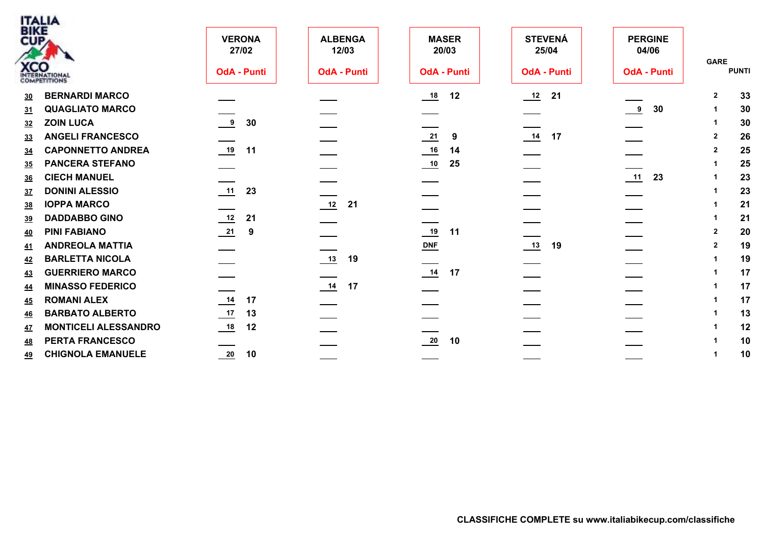|                | <b>BIKE</b>                 |                                |                         |                                  |                         |                         |                |              |
|----------------|-----------------------------|--------------------------------|-------------------------|----------------------------------|-------------------------|-------------------------|----------------|--------------|
| CUP            |                             | <b>VERONA</b><br>27/02         | <b>ALBENGA</b><br>12/03 | <b>MASER</b><br>20/03            | <b>STEVENÁ</b><br>25/04 | <b>PERGINE</b><br>04/06 |                |              |
|                | <b>XCO</b><br>INTERNATIONAL | <b>OdA - Punti</b>             | <b>OdA - Punti</b>      | <b>OdA - Punti</b>               | <b>OdA - Punti</b>      | <b>OdA - Punti</b>      | <b>GARE</b>    | <b>PUNTI</b> |
| <u>30</u>      | <b>BERNARDI MARCO</b>       |                                |                         | 12                               | 21<br>$\frac{12}{1}$    |                         | $\mathbf{2}$   | 33           |
| 31             | <b>QUAGLIATO MARCO</b>      |                                |                         |                                  |                         | $\frac{9}{2}$<br>30     |                | 30           |
| 32             | <b>ZOIN LUCA</b>            | $\overline{\phantom{a}}$<br>30 |                         |                                  |                         |                         |                | 30           |
| 33             | <b>ANGELI FRANCESCO</b>     |                                |                         | $\frac{21}{2}$<br>9              | $14$ 17                 |                         | $\overline{2}$ | 26           |
| 34             | <b>CAPONNETTO ANDREA</b>    | $\frac{19}{2}$<br>11           |                         | 14                               |                         |                         | $\overline{2}$ | 25           |
| 35             | <b>PANCERA STEFANO</b>      |                                |                         | 25                               |                         |                         |                | 25           |
| <u>36</u>      | <b>CIECH MANUEL</b>         |                                |                         |                                  |                         | 11<br>23                |                | 23           |
| 3 <sub>z</sub> | <b>DONINI ALESSIO</b>       | 11<br>23                       |                         |                                  |                         |                         |                | 23           |
| 38             | <b>IOPPA MARCO</b>          |                                | 12<br>21                |                                  |                         |                         |                | 21           |
| 39             | <b>DADDABBO GINO</b>        | 12<br>21                       |                         |                                  |                         |                         |                | 21           |
| 40             | <b>PINI FABIANO</b>         | $\frac{21}{2}$<br>9            |                         | 19<br>11                         |                         |                         | $\overline{2}$ | 20           |
| <u>41</u>      | <b>ANDREOLA MATTIA</b>      |                                |                         | $DNF$                            | $\frac{13}{2}$<br>19    |                         | $\overline{2}$ | 19           |
| 42             | <b>BARLETTA NICOLA</b>      |                                | 13<br>19                |                                  |                         |                         |                | 19           |
| 43             | <b>GUERRIERO MARCO</b>      |                                |                         | $\frac{14}{12}$ 17               |                         |                         |                | 17           |
| <u>44</u>      | <b>MINASSO FEDERICO</b>     |                                | $\frac{14}{1}$<br>17    |                                  |                         |                         |                | 17           |
| 45             | <b>ROMANI ALEX</b>          | $\frac{14}{1}$<br>17           |                         |                                  |                         |                         |                | 17           |
| 46             | <b>BARBATO ALBERTO</b>      | $\frac{17}{2}$<br>13           |                         |                                  |                         |                         |                | 13           |
| 47             | <b>MONTICELI ALESSANDRO</b> | 18<br>12                       |                         |                                  |                         |                         |                | 12           |
| <u>48</u>      | PERTA FRANCESCO             |                                |                         | $\overline{\phantom{0}20}$<br>10 |                         |                         |                | 10           |
| <u>49</u>      | <b>CHIGNOLA EMANUELE</b>    | $\frac{20}{1}$<br>10           |                         |                                  |                         |                         |                | 10           |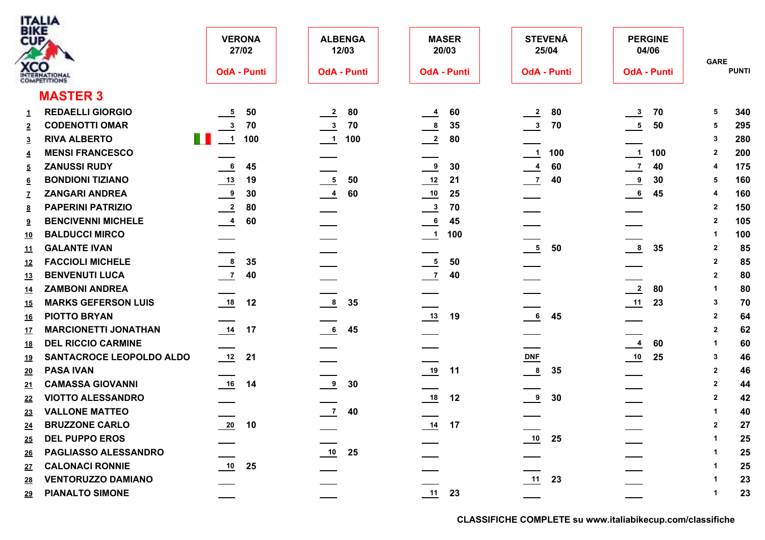| ITALIA            |
|-------------------|
| <b>BIKE</b>       |
|                   |
|                   |
|                   |
| ATIONAL           |
| <b>APETITIONS</b> |

| BIKE<br>CUP     |                             | <b>VERONA</b><br>27/02        | <b>ALBENGA</b><br>12/03 | <b>MASER</b><br>20/03       | <b>STEVENÁ</b><br>25/04 | <b>PERGINE</b><br>04/06          | <b>GARE</b>          |
|-----------------|-----------------------------|-------------------------------|-------------------------|-----------------------------|-------------------------|----------------------------------|----------------------|
|                 | <b>XCO</b><br>INTERNATIONAL | <b>OdA - Punti</b>            | <b>OdA - Punti</b>      | <b>OdA - Punti</b>          | <b>OdA - Punti</b>      | <b>OdA - Punti</b>               | <b>PUNTI</b>         |
|                 | <b>MASTER 3</b>             |                               |                         |                             |                         |                                  |                      |
| $\mathbf{1}$    | <b>REDAELLI GIORGIO</b>     | 50                            | $\frac{2}{2}$<br>80     | 60<br>$\frac{4}{1}$         | 80<br>$\frac{2}{2}$     | $\frac{3}{2}$<br>70              | 340<br>5             |
| $\overline{2}$  | <b>CODENOTTI OMAR</b>       | $\overline{\mathbf{3}}$<br>70 | $\frac{3}{2}$<br>70     | $\frac{8}{1}$<br>35         | $\frac{3}{2}$<br>70     | $\frac{5}{2}$<br>50              | 295<br>5             |
| $\overline{3}$  | <b>RIVA ALBERTO</b>         | U I<br>$\frac{1}{2}$<br>100   | $\frac{1}{1}$ 100       | $\frac{2}{2}$<br>80         |                         |                                  | 280<br>3             |
| $\overline{4}$  | <b>MENSI FRANCESCO</b>      |                               |                         |                             | $\frac{1}{1}$ 100       | $\frac{1}{2}$<br>100             | 200<br>$\mathbf{2}$  |
| <u>5</u>        | <b>ZANUSSI RUDY</b>         | 6<br>45                       |                         | $\frac{9}{2}$<br>30         | $\overline{4}$<br>60    | $\overline{z}$<br>40             | 175                  |
| $6\overline{6}$ | <b>BONDIONI TIZIANO</b>     | 19                            | $\frac{5}{2}$<br>50     | $\frac{12}{2}$<br>21        | $\frac{7}{2}$<br>40     | $\frac{9}{2}$<br>30              | 160<br>5             |
| $\mathbf{Z}$    | <b>ZANGARI ANDREA</b>       | $\frac{9}{2}$<br>30           | $\frac{4}{1}$<br>60     | 25                          |                         | $\overline{\phantom{0}}$ 6<br>45 | 160                  |
| <u>8</u>        | <b>PAPERINI PATRIZIO</b>    | $\frac{2}{2}$<br>80           |                         | $\frac{3}{2}$<br>70         |                         |                                  | 150<br>$\mathbf{2}$  |
| 9               | <b>BENCIVENNI MICHELE</b>   | $\frac{4}{1}$<br>60           |                         | 45<br>$\overline{6}$        |                         |                                  | 105<br>$\mathbf{2}$  |
| <u>10</u>       | <b>BALDUCCI MIRCO</b>       |                               |                         | 100<br>$\frac{1}{\sqrt{1}}$ |                         |                                  | 100<br>-1            |
| <u>11</u>       | <b>GALANTE IVAN</b>         |                               |                         |                             | $\frac{5}{2}$<br>50     | $\frac{8}{1}$<br>35              | 85<br>$\overline{2}$ |
| <u>12</u>       | <b>FACCIOLI MICHELE</b>     | $\frac{8}{1}$<br>35           |                         | $\frac{5}{1}$<br>50         |                         |                                  | 85<br>$\mathbf{2}$   |
| <u>13</u>       | <b>BENVENUTI LUCA</b>       | $\overline{z}$<br>40          |                         | $\frac{7}{2}$<br>40         |                         |                                  | 80<br>$\mathbf{2}$   |
| <u>14</u>       | <b>ZAMBONI ANDREA</b>       |                               |                         |                             |                         | $\frac{2}{2}$<br>80              | 80<br>$\mathbf 1$    |
| <u>15</u>       | <b>MARKS GEFERSON LUIS</b>  | 18<br>12                      | $\frac{8}{2}$<br>35     |                             |                         | 23                               | 70<br>$\mathbf{3}$   |
| <u>16</u>       | <b>PIOTTO BRYAN</b>         |                               |                         | 19                          | $\frac{6}{1}$<br>45     |                                  | $\overline{2}$<br>64 |
| <u>17</u>       | <b>MARCIONETTI JONATHAN</b> | 14<br>17                      | 6<br>45                 |                             |                         |                                  | $\overline{2}$<br>62 |
| <u>18</u>       | <b>DEL RICCIO CARMINE</b>   |                               |                         |                             |                         | 60<br>$\frac{4}{1}$              | 60<br>-1             |
| <u>19</u>       | SANTACROCE LEOPOLDO ALDO    | 21                            |                         |                             | $DNF$                   | $\frac{10}{1}$<br>25             | 46<br>3              |
| 20              | <b>PASA IVAN</b>            |                               |                         | 19<br>11                    | $\frac{8}{1}$<br>35     |                                  | $\overline{2}$<br>46 |
| 21              | <b>CAMASSA GIOVANNI</b>     | 16<br>14                      | $\frac{9}{2}$<br>30     |                             |                         |                                  | $\overline{2}$<br>44 |
| 22              | <b>VIOTTO ALESSANDRO</b>    |                               |                         | 18<br>12                    | $\frac{9}{2}$<br>30     |                                  | 42<br>$\overline{2}$ |
| 23              | <b>VALLONE MATTEO</b>       |                               | $\frac{7}{2}$ 40        |                             |                         |                                  | 40<br>$\mathbf 1$    |
| 24              | <b>BRUZZONE CARLO</b>       | 20<br>10                      |                         | $\frac{14}{1}$<br>17        |                         |                                  | 27<br>$\mathbf{2}$   |
| 25              | <b>DEL PUPPO EROS</b>       |                               |                         |                             | 10<br>25                |                                  | 25<br>-1             |
| <u>26</u>       | PAGLIASSO ALESSANDRO        |                               | 25                      |                             |                         |                                  | 25                   |
| 27              | <b>CALONACI RONNIE</b>      | 10<br>25                      |                         |                             |                         |                                  | 25                   |
| 28              | <b>VENTORUZZO DAMIANO</b>   |                               |                         |                             | 23                      |                                  | 23                   |
| <u>29</u>       | <b>PIANALTO SIMONE</b>      |                               |                         | 11<br>23                    |                         |                                  | 23<br>$\mathbf 1$    |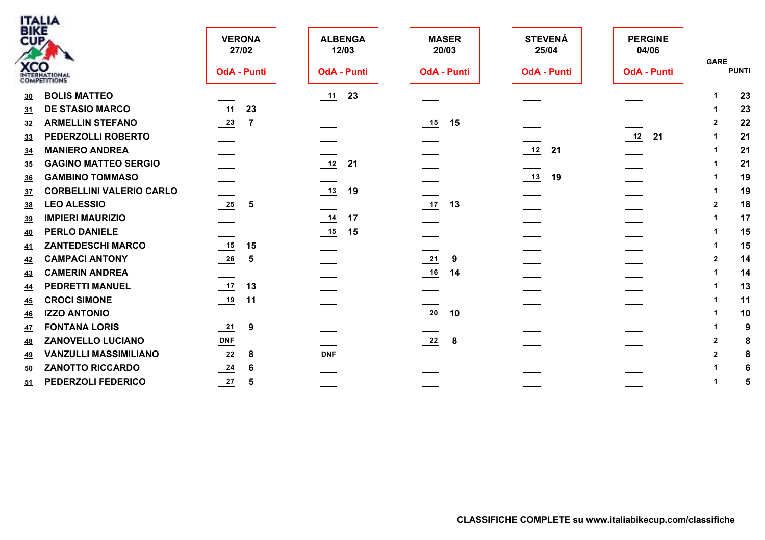|           | <b>ITALIA</b><br>BIKE           |                        |                         |                       |                         |                         |                             |
|-----------|---------------------------------|------------------------|-------------------------|-----------------------|-------------------------|-------------------------|-----------------------------|
|           | CUP                             | <b>VERONA</b><br>27/02 | <b>ALBENGA</b><br>12/03 | <b>MASER</b><br>20/03 | <b>STEVENÁ</b><br>25/04 | <b>PERGINE</b><br>04/06 |                             |
|           | <b>XCO</b>                      | <b>OdA - Punti</b>     | <b>OdA - Punti</b>      | <b>OdA - Punti</b>    | <b>OdA - Punti</b>      | <b>OdA - Punti</b>      | <b>GARE</b><br><b>PUNTI</b> |
| 30        | <b>BOLIS MATTEO</b>             |                        | 11<br>23                |                       |                         |                         | 23                          |
| 31        | <b>DE STASIO MARCO</b>          | 11<br>23               |                         |                       |                         |                         | 23                          |
| 32        | <b>ARMELLIN STEFANO</b>         | $\frac{23}{2}$<br>-7   |                         | $15$ 15               |                         |                         | 22                          |
| 33        | PEDERZOLLI ROBERTO              |                        |                         |                       |                         | $\frac{12}{2}$<br>21    | 21                          |
| 34        | <b>MANIERO ANDREA</b>           |                        |                         |                       | $\frac{12}{2}$<br>21    |                         | 21                          |
| 35        | <b>GAGINO MATTEO SERGIO</b>     |                        | 12<br>21                |                       |                         |                         | 21                          |
| <u>36</u> | <b>GAMBINO TOMMASO</b>          |                        |                         |                       | 13<br>19                |                         | 19                          |
| 37        | <b>CORBELLINI VALERIO CARLO</b> |                        | 13<br>19                |                       |                         |                         | 19                          |
| 38        | <b>LEO ALESSIO</b>              | $\frac{25}{2}$<br>5    |                         | $17$ 13               |                         |                         | 18<br>$\overline{2}$        |
| 39        | <b>IMPIERI MAURIZIO</b>         |                        | 14<br>17                |                       |                         |                         | 17                          |
| <u>40</u> | <b>PERLO DANIELE</b>            |                        | 15<br>15                |                       |                         |                         | 15                          |
| <u>41</u> | <b>ZANTEDESCHI MARCO</b>        | 15<br>15               |                         |                       |                         |                         | 15                          |
| 42        | <b>CAMPACI ANTONY</b>           | $\frac{26}{1}$<br>5    |                         | $\frac{21}{2}$<br>9   |                         |                         | 14<br>$\mathbf{2}$          |
| 43        | <b>CAMERIN ANDREA</b>           |                        |                         | 16<br>14              |                         |                         | 14                          |
| <u>44</u> | <b>PEDRETTI MANUEL</b>          | $\frac{17}{2}$<br>13   |                         |                       |                         |                         | 13                          |
| <u>45</u> | <b>CROCI SIMONE</b>             | $\frac{19}{1}$<br>11   |                         |                       |                         |                         | 11                          |
| 46        | <b>IZZO ANTONIO</b>             |                        |                         | $\frac{20}{1}$<br>10  |                         |                         | 10                          |
| <u>47</u> | <b>FONTANA LORIS</b>            | $\frac{21}{2}$<br>9    |                         |                       |                         |                         | 9                           |
| <u>48</u> | <b>ZANOVELLO LUCIANO</b>        | $DNF$                  |                         | $\frac{22}{2}$<br>- 8 |                         |                         | 2<br>8                      |
| <u>49</u> | <b>VANZULLI MASSIMILIANO</b>    | $\frac{22}{2}$<br>-8   | <b>DNF</b>              |                       |                         |                         | 8                           |
| 50        | <b>ZANOTTO RICCARDO</b>         | $\frac{24}{1}$<br>6    |                         |                       |                         |                         |                             |
| 51        | PEDERZOLI FEDERICO              | 27<br>5                |                         |                       |                         |                         | 5                           |
|           |                                 |                        |                         |                       |                         |                         |                             |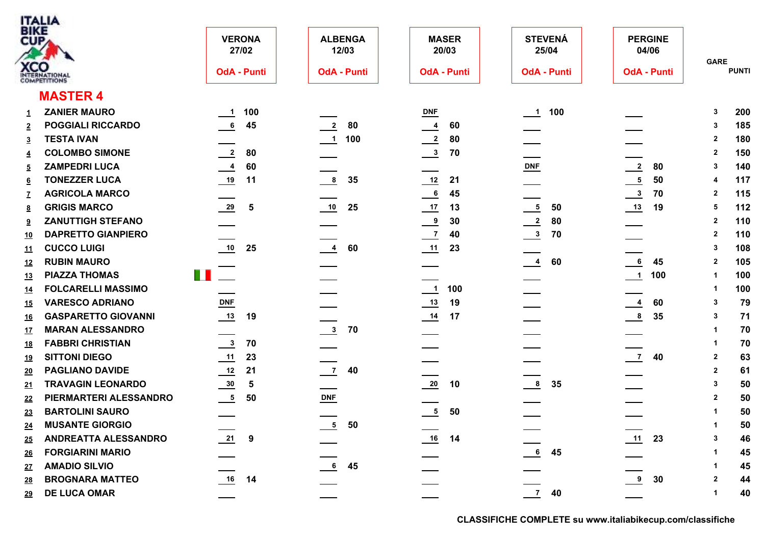|                           | <b>ITALIA</b>               |                            |                |                         |                           |                       |                          |                         |                               |                         |              |
|---------------------------|-----------------------------|----------------------------|----------------|-------------------------|---------------------------|-----------------------|--------------------------|-------------------------|-------------------------------|-------------------------|--------------|
| <b>BIKE</b><br><b>CUP</b> |                             | <b>VERONA</b><br>27/02     |                | <b>ALBENGA</b><br>12/03 |                           | <b>MASER</b><br>20/03 |                          | <b>STEVENÁ</b><br>25/04 | <b>PERGINE</b><br>04/06       |                         |              |
|                           | <b>XCO</b><br>INTERNATIONAL | <b>OdA - Punti</b>         |                | <b>OdA - Punti</b>      |                           | <b>OdA - Punti</b>    |                          | <b>OdA - Punti</b>      | <b>OdA - Punti</b>            | <b>GARE</b>             | <b>PUNTI</b> |
|                           | <b>MASTER 4</b>             |                            |                |                         |                           |                       |                          |                         |                               |                         |              |
| 1                         | <b>ZANIER MAURO</b>         | $-1$                       | 100            |                         | $\underline{\text{DNF}}$  |                       | $\overline{\phantom{0}}$ | 100                     |                               | 3                       | 200          |
| $\overline{2}$            | <b>POGGIALI RICCARDO</b>    | 6                          | 45             | 80<br>$\mathbf{2}$      | $\overline{4}$            | 60                    |                          |                         |                               | 3                       | 185          |
| 3                         | <b>TESTA IVAN</b>           |                            |                | 100<br>$\blacksquare$   | $\overline{\phantom{0}2}$ | 80                    |                          |                         |                               | $\mathbf{2}$            | 180          |
| 4                         | <b>COLOMBO SIMONE</b>       | $\frac{2}{2}$              | 80             |                         | $\frac{3}{2}$             | 70                    |                          |                         |                               | $\mathbf{2}$            | 150          |
| 5                         | <b>ZAMPEDRI LUCA</b>        | $\frac{4}{1}$              | 60             |                         |                           |                       | $DNF$                    |                         | $\frac{2}{2}$<br>80           | 3                       | 140          |
| <u>6</u>                  | <b>TONEZZER LUCA</b>        | $\frac{19}{1}$             | 11             | 8<br>35                 | $\frac{12}{1}$            | 21                    |                          |                         | $\frac{5}{2}$<br>50           | 4                       | 117          |
|                           | <b>AGRICOLA MARCO</b>       |                            |                |                         | $\frac{6}{1}$             | 45                    |                          |                         | $\frac{3}{2}$<br>70           | $\overline{2}$          | 115          |
| <u>8</u>                  | <b>GRIGIS MARCO</b>         | $\frac{29}{2}$             | $\sqrt{5}$     | 10<br>25                | $\frac{17}{1}$            | 13                    | $\overline{\mathbf{5}}$  | 50                      | $\frac{13}{2}$<br>19          | 5                       | 112          |
| $9^{\circ}$               | <b>ZANUTTIGH STEFANO</b>    |                            |                |                         | $\frac{9}{2}$             | 30                    | $\frac{2}{2}$            | 80                      |                               | $\mathbf{2}$            | 110          |
| <u>10</u>                 | <b>DAPRETTO GIANPIERO</b>   |                            |                |                         | $\frac{7}{2}$             | 40                    | $\frac{3}{2}$            | 70                      |                               | $\overline{2}$          | 110          |
| <u>11</u>                 | <b>CUCCO LUIGI</b>          | 10                         | 25             | $\frac{4}{1}$<br>60     |                           | 23                    |                          |                         |                               | 3                       | 108          |
| 12                        | <b>RUBIN MAURO</b>          |                            |                |                         |                           |                       | $\frac{4}{1}$            | 60                      | $6\phantom{.}6$<br>45         | $\overline{2}$          | 105          |
| <u>13</u>                 | <b>PIAZZA THOMAS</b>        | $\blacksquare$             |                |                         |                           |                       |                          |                         | 100<br>$\frac{1}{2}$          | -1                      | 100          |
| <u>14</u>                 | <b>FOLCARELLI MASSIMO</b>   |                            |                |                         | $\overline{\phantom{0}1}$ | 100                   |                          |                         |                               |                         | 100          |
| <u>15</u>                 | <b>VARESCO ADRIANO</b>      | DNF                        |                |                         | $\frac{13}{2}$            | 19                    |                          |                         | $\frac{4}{1}$<br>60           | -3                      | 79           |
| <u>16</u>                 | <b>GASPARETTO GIOVANNI</b>  | $\frac{13}{1}$             | 19             |                         | $\frac{14}{1}$            | 17                    |                          |                         | $\frac{8}{1}$<br>35           | -3                      | 71           |
| <u>17</u>                 | <b>MARAN ALESSANDRO</b>     |                            |                | $\frac{3}{2}$<br>70     |                           |                       |                          |                         |                               | -1                      | 70           |
| <u>18</u>                 | <b>FABBRI CHRISTIAN</b>     | $\frac{3}{2}$              | 70             |                         |                           |                       |                          |                         |                               | -1                      | 70           |
| <u> 19</u>                | <b>SITTONI DIEGO</b>        | 11                         | 23             |                         |                           |                       |                          |                         | $\frac{7}{2}$<br>40           | $\overline{2}$          | 63           |
| <u>20</u>                 | <b>PAGLIANO DAVIDE</b>      | 12                         | 21             | $\overline{7}$<br>40    |                           |                       |                          |                         |                               | $\overline{2}$          | 61           |
| <u>21</u>                 | <b>TRAVAGIN LEONARDO</b>    | $\frac{30}{2}$             | $5\phantom{1}$ |                         | 20                        | 10                    | $\frac{8}{1}$            | 35                      |                               | -3                      | 50           |
| 22                        | PIERMARTERI ALESSANDRO      | $\overline{\phantom{0}}^5$ | 50             | <b>DNF</b>              |                           |                       |                          |                         |                               | $\overline{2}$          | 50           |
| 23                        | <b>BARTOLINI SAURO</b>      |                            |                |                         | $\frac{5}{2}$             | 50                    |                          |                         |                               | $\mathbf 1$             | 50           |
| 24                        | <b>MUSANTE GIORGIO</b>      |                            |                | $5\overline{)}$<br>50   |                           |                       |                          |                         |                               | $\overline{\mathbf{1}}$ | 50           |
| 25                        | ANDREATTA ALESSANDRO        | $\frac{21}{2}$             | 9              |                         | 16                        | 14                    |                          |                         | 11<br>23                      |                         | 46           |
| 26                        | <b>FORGIARINI MARIO</b>     |                            |                |                         |                           |                       | $6\overline{6}$          | 45                      |                               |                         | 45           |
| <u>27</u>                 | <b>AMADIO SILVIO</b>        |                            |                | 45<br>$6\overline{6}$   |                           |                       |                          |                         |                               |                         | 45           |
| 28                        | <b>BROGNARA MATTEO</b>      | $16$ 14                    |                |                         |                           |                       |                          |                         | $\overline{\mathbf{9}}$<br>30 | $\overline{2}$          | 44           |
| <u>29</u>                 | <b>DE LUCA OMAR</b>         |                            |                |                         |                           |                       |                          | $\frac{1}{\sqrt{7}}$ 40 |                               |                         | 40           |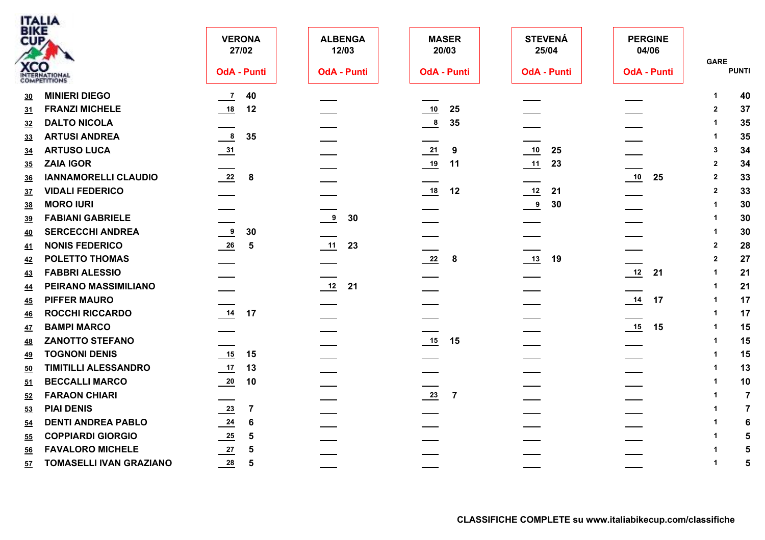| <b>BIKE</b> | <b>ITALIA</b>                  |                                  |                         |                                  |                         |                         |                               |
|-------------|--------------------------------|----------------------------------|-------------------------|----------------------------------|-------------------------|-------------------------|-------------------------------|
| CUP         |                                | <b>VERONA</b><br>27/02           | <b>ALBENGA</b><br>12/03 | <b>MASER</b><br>20/03            | <b>STEVENÁ</b><br>25/04 | <b>PERGINE</b><br>04/06 | <b>GARE</b>                   |
|             | <b>XCO</b><br>INTERNATIONAL    | <b>OdA - Punti</b>               | <b>OdA - Punti</b>      | <b>OdA - Punti</b>               | <b>OdA - Punti</b>      | <b>OdA - Punti</b>      | <b>PUNTI</b>                  |
| 30          | <b>MINIERI DIEGO</b>           | 40<br>$\frac{7}{2}$              |                         |                                  |                         |                         | 40<br>$\mathbf 1$             |
| <u>31</u>   | <b>FRANZI MICHELE</b>          | 18<br>12                         |                         | 10<br>25                         |                         |                         | 37<br>2                       |
| 32          | <b>DALTO NICOLA</b>            |                                  |                         | $\frac{8}{1}$<br>35              |                         |                         | 35<br>-1                      |
| 33          | <b>ARTUSI ANDREA</b>           | $\frac{8}{2}$<br>35              |                         |                                  |                         |                         | 35<br>-1                      |
| 34          | <b>ARTUSO LUCA</b>             | $\frac{31}{2}$                   |                         | 21<br>9                          | 10<br>25                |                         | 34<br>-3                      |
| 35          | <b>ZAIA IGOR</b>               |                                  |                         | $\frac{19}{1}$<br>11             | 23                      |                         | 34<br>$\overline{2}$          |
| <u>36</u>   | <b>IANNAMORELLI CLAUDIO</b>    | $\frac{22}{2}$<br>- 8            |                         |                                  |                         | 10<br>25                | 33<br>$\overline{2}$          |
| <u>37</u>   | <b>VIDALI FEDERICO</b>         |                                  |                         | 18<br>12                         | 21                      |                         | 33<br>$\overline{2}$          |
| 38          | <b>MORO IURI</b>               |                                  |                         |                                  | $^{9}$<br>30            |                         | 30<br>-1                      |
| <u>39</u>   | <b>FABIANI GABRIELE</b>        |                                  | 30<br>9                 |                                  |                         |                         | 30<br>-1                      |
| <u>40</u>   | <b>SERCECCHI ANDREA</b>        | $\frac{9}{2}$<br>30              |                         |                                  |                         |                         | 30<br>$\mathbf 1$             |
| 41          | <b>NONIS FEDERICO</b>          | 26<br>5                          | 11<br>23                |                                  |                         |                         | $\overline{2}$<br>28          |
| 42          | <b>POLETTO THOMAS</b>          |                                  |                         | $\frac{22}{2}$<br>8              | 13<br>19                |                         | 27<br>$\overline{2}$          |
| 43          | <b>FABBRI ALESSIO</b>          |                                  |                         |                                  |                         | 12<br>21                | 21<br>-1                      |
| <u>44</u>   | PEIRANO MASSIMILIANO           |                                  | $\frac{12}{1}$<br>21    |                                  |                         |                         | 21<br>$\mathbf 1$             |
| <u>45</u>   | <b>PIFFER MAURO</b>            |                                  |                         |                                  |                         | 14<br>17                | 17<br>$\overline{\mathbf{1}}$ |
| <u>46</u>   | <b>ROCCHI RICCARDO</b>         | 14<br>17                         |                         |                                  |                         |                         | 17<br>-1                      |
| <u>47</u>   | <b>BAMPI MARCO</b>             |                                  |                         |                                  |                         | 15<br>15                | 15                            |
| <u>48</u>   | <b>ZANOTTO STEFANO</b>         |                                  |                         | $\frac{15}{15}$ 15               |                         |                         | 15                            |
| <u>49</u>   | <b>TOGNONI DENIS</b>           | 15                               |                         |                                  |                         |                         | 15                            |
| 50          | <b>TIMITILLI ALESSANDRO</b>    | $\frac{17}{1}$<br>13             |                         |                                  |                         |                         | 13                            |
| 51          | <b>BECCALLI MARCO</b>          | $\frac{20}{1}$<br>10             |                         |                                  |                         |                         | 10                            |
| 52          | <b>FARAON CHIARI</b>           |                                  |                         | $\frac{23}{2}$<br>$\overline{7}$ |                         |                         | $\overline{7}$                |
| <u>53</u>   | <b>PIAI DENIS</b>              | $\frac{23}{2}$<br>$\overline{7}$ |                         |                                  |                         |                         | $\overline{7}$                |
| 54          | <b>DENTI ANDREA PABLO</b>      | $\frac{24}{1}$<br>6              |                         |                                  |                         |                         | 6                             |
| 55          | <b>COPPIARDI GIORGIO</b>       | $\frac{25}{2}$<br>$\sqrt{5}$     |                         |                                  |                         |                         | 5                             |
| 56          | <b>FAVALORO MICHELE</b>        | 27<br>$5\phantom{1}$             |                         |                                  |                         |                         | 5                             |
| 57          | <b>TOMASELLI IVAN GRAZIANO</b> | $\frac{28}{1}$<br>$\sqrt{5}$     |                         |                                  |                         |                         | 5<br>-1                       |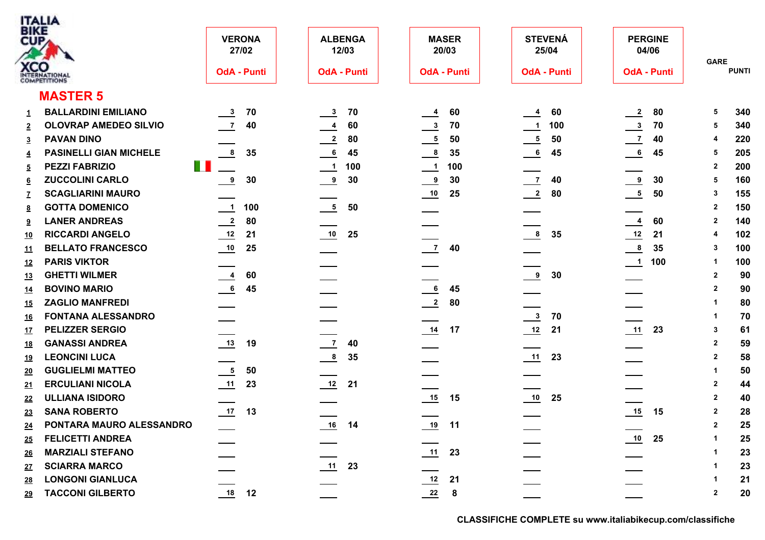|                    | <b>ITALIA</b>                        |                                  |                               |                                   |                                 |                                  |                               |
|--------------------|--------------------------------------|----------------------------------|-------------------------------|-----------------------------------|---------------------------------|----------------------------------|-------------------------------|
| <b>BIKE</b><br>CUP |                                      | <b>VERONA</b><br>27/02           | <b>ALBENGA</b><br>12/03       | <b>MASER</b><br>20/03             | <b>STEVENÁ</b><br>25/04         | <b>PERGINE</b><br>04/06          |                               |
|                    | <b>XCO</b><br>INTERNATIONAL          | <b>OdA - Punti</b>               | <b>OdA - Punti</b>            | <b>OdA - Punti</b>                | <b>OdA - Punti</b>              | <b>OdA - Punti</b>               | <b>GARE</b><br><b>PUNTI</b>   |
|                    | <b>MASTER 5</b>                      |                                  |                               |                                   |                                 |                                  |                               |
| 1                  | <b>BALLARDINI EMILIANO</b>           | $\overline{\phantom{0}3}$<br>70  | 70<br>$\mathbf{3}$            | 60<br>$\frac{4}{}$                | 60<br>$\overline{4}$            | $\overline{\phantom{0}}^2$<br>80 | 340<br>5                      |
| $\overline{2}$     | <b>OLOVRAP AMEDEO SILVIO</b>         | $\overline{7}$<br>40             | 60<br>$\overline{\mathbf{4}}$ | 70<br>$\frac{3}{2}$               | 100<br>$\overline{\mathbf{1}}$  | $\frac{3}{2}$<br>70              | 340<br>5                      |
| $\overline{3}$     | <b>PAVAN DINO</b>                    |                                  | 80<br>$\overline{2}$          | 50<br>$\frac{5}{2}$               | 50<br>$\frac{5}{5}$             | $\overline{z}$<br>40             | 220<br>4                      |
| 4                  | <b>PASINELLI GIAN MICHELE</b>        | 8<br>35                          | 6<br>45                       | $\frac{8}{1}$<br>35               | 45<br>6                         | $\frac{6}{1}$<br>45              | 205<br>5                      |
| $\overline{5}$     | <b>Tara</b><br><b>PEZZI FABRIZIO</b> |                                  | 100<br>$\blacksquare$         | 100<br>$\overline{\phantom{0}}$ 1 |                                 |                                  | 200<br>$\overline{2}$         |
| <u>6</u>           | <b>ZUCCOLINI CARLO</b>               | $\frac{9}{2}$<br>30              | 30<br>$\overline{\mathbf{e}}$ | 30<br>$\frac{9}{2}$               | $\overline{7}$<br>40            | 30<br>9                          | 160<br>5                      |
|                    | <b>SCAGLIARINI MAURO</b>             |                                  |                               | 25                                | $\frac{2}{2}$<br>80             | $\frac{5}{2}$<br>50              | 155<br>3                      |
| <u>8</u>           | <b>GOTTA DOMENICO</b>                | $\overline{\phantom{0}1}$<br>100 | 50<br>5                       | ____                              |                                 |                                  | 150<br>$\overline{2}$         |
| $9^{\circ}$        | <b>LANER ANDREAS</b>                 | $\frac{2}{2}$<br>80              |                               |                                   |                                 | $\frac{4}{1}$<br>60              | 140<br>$\mathbf{2}$           |
| <u>10</u>          | <b>RICCARDI ANGELO</b>               | $\frac{12}{1}$<br>21             | 10<br>25                      |                                   | $\overline{\mathbf{8}}$<br>35   | $\frac{12}{1}$<br>21             | 102<br>4                      |
| <u>11</u>          | <b>BELLATO FRANCESCO</b>             | 25                               |                               | $\frac{7}{2}$<br>40               |                                 | $\frac{8}{2}$<br>35              | 100<br>3                      |
| <u>12</u>          | <b>PARIS VIKTOR</b>                  |                                  |                               |                                   |                                 | 100<br>$\frac{1}{2}$             | 100<br>-1                     |
| <u>13</u>          | <b>GHETTI WILMER</b>                 | $\frac{4}{1}$<br>60              |                               |                                   | $\frac{9}{2}$<br>30             |                                  | 90<br>$\overline{\mathbf{2}}$ |
| <u>14</u>          | <b>BOVINO MARIO</b>                  | $\underline{6}$<br>45            |                               | 6<br>45                           |                                 |                                  | 90<br>$\overline{2}$          |
| <u>15</u>          | <b>ZAGLIO MANFREDI</b>               |                                  |                               | $\frac{2}{2}$<br>80               |                                 |                                  | 80<br>$\overline{\mathbf{1}}$ |
| <u>16</u>          | <b>FONTANA ALESSANDRO</b>            |                                  |                               |                                   | $\overline{\phantom{a}3}$<br>70 |                                  | 70<br>-1                      |
| <u>17</u>          | <b>PELIZZER SERGIO</b>               |                                  |                               | $\frac{14}{1}$<br>17              | 21                              | 23                               | 61<br>-3                      |
| <u>18</u>          | <b>GANASSI ANDREA</b>                | 13<br>19                         | 40<br>$\overline{7}$          |                                   |                                 |                                  | 59<br>$\overline{\mathbf{2}}$ |
| <u> 19</u>         | <b>LEONCINI LUCA</b>                 |                                  | $\overline{\mathbf{8}}$<br>35 |                                   | 11<br>23                        |                                  | 58<br>$\overline{2}$          |
| <u>20</u>          | <b>GUGLIELMI MATTEO</b>              | $\overline{\phantom{0}}$<br>50   |                               |                                   |                                 |                                  | 50<br>$\mathbf 1$             |
| 21                 | <b>ERCULIANI NICOLA</b>              | 11<br>23                         | $\frac{12}{1}$<br>21          |                                   |                                 |                                  | $\overline{2}$<br>44          |
| 22                 | <b>ULLIANA ISIDORO</b>               |                                  |                               | 15                                | 10<br>25                        |                                  | $\overline{2}$<br>40          |
| 23                 | <b>SANA ROBERTO</b>                  | $\frac{17}{2}$<br>13             |                               |                                   |                                 | $\frac{15}{2}$<br>15             | 28<br>$\overline{2}$          |
| 24                 | PONTARA MAURO ALESSANDRO             |                                  | 14<br>$\underline{16}$        | 19<br>11                          |                                 |                                  | 25<br>$\overline{2}$          |
| 25                 | <b>FELICETTI ANDREA</b>              |                                  |                               |                                   |                                 | 25                               | 25                            |
| 26                 | <b>MARZIALI STEFANO</b>              |                                  |                               | $11$ 23                           |                                 |                                  | 23                            |
| <u>27</u>          | <b>SCIARRA MARCO</b>                 |                                  | 11<br>23                      |                                   |                                 |                                  | 23                            |
| <u>28</u>          | <b>LONGONI GIANLUCA</b>              |                                  |                               | $\frac{12}{1}$<br>21              |                                 |                                  | 21                            |
| <u>29</u>          | <b>TACCONI GILBERTO</b>              | $\frac{18}{12}$ 12               |                               | $22$ 8                            |                                 |                                  | 20<br>$\overline{2}$          |
|                    |                                      |                                  |                               |                                   |                                 |                                  |                               |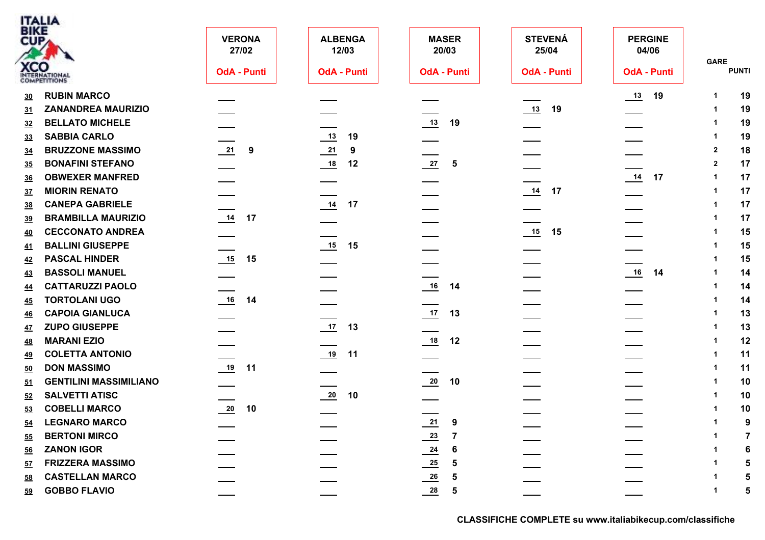|           | ITALIA<br>BIKE                |                        |                         |                                                                                  |                         |                         |                               |
|-----------|-------------------------------|------------------------|-------------------------|----------------------------------------------------------------------------------|-------------------------|-------------------------|-------------------------------|
|           | CUP                           | <b>VERONA</b><br>27/02 | <b>ALBENGA</b><br>12/03 | <b>MASER</b><br>20/03                                                            | <b>STEVENÁ</b><br>25/04 | <b>PERGINE</b><br>04/06 | <b>GARE</b>                   |
|           | <b>XCO</b><br>INTERNATIONAL   | <b>OdA - Punti</b>     | <b>OdA - Punti</b>      | <b>OdA - Punti</b>                                                               | <b>OdA - Punti</b>      | <b>OdA - Punti</b>      | <b>PUNTI</b>                  |
| 30        | <b>RUBIN MARCO</b>            |                        |                         |                                                                                  |                         | 19                      | 19<br>-1                      |
| <u>31</u> | <b>ZANANDREA MAURIZIO</b>     |                        |                         |                                                                                  | $13$ 19                 |                         | 19                            |
| 32        | <b>BELLATO MICHELE</b>        |                        |                         | $13$ 19                                                                          |                         |                         | 19                            |
| <u>33</u> | <b>SABBIA CARLO</b>           |                        | $\frac{13}{2}$<br>19    |                                                                                  |                         |                         | 19                            |
| <u>34</u> | <b>BRUZZONE MASSIMO</b>       | $\frac{21}{ }$ 9       | $\frac{21}{2}$<br>9     |                                                                                  |                         |                         | 18<br>$\overline{\mathbf{2}}$ |
| <u>35</u> | <b>BONAFINI STEFANO</b>       |                        | 18<br>12                | $\frac{27}{2}$<br>$\overline{\phantom{a}}$                                       |                         |                         | 17<br>$\overline{2}$          |
| <u>36</u> | <b>OBWEXER MANFRED</b>        |                        |                         |                                                                                  |                         | 14<br>17                | 17                            |
| <u>37</u> | <b>MIORIN RENATO</b>          |                        |                         |                                                                                  | 14<br>17                |                         | 17                            |
| <u>38</u> | <b>CANEPA GABRIELE</b>        |                        | 14<br>17                |                                                                                  |                         |                         | 17                            |
| <u>39</u> | <b>BRAMBILLA MAURIZIO</b>     | 14<br>17               |                         |                                                                                  |                         |                         | 17                            |
| <u>40</u> | <b>CECCONATO ANDREA</b>       |                        |                         |                                                                                  | $15$ 15                 |                         | 15                            |
| 41        | <b>BALLINI GIUSEPPE</b>       |                        | $\frac{15}{15}$<br>15   |                                                                                  |                         |                         | 15                            |
| <u>42</u> | <b>PASCAL HINDER</b>          | 15<br>15               |                         |                                                                                  |                         |                         | 15                            |
| <u>43</u> | <b>BASSOLI MANUEL</b>         |                        |                         |                                                                                  |                         | 16<br>14                | 14                            |
| <u>44</u> | <b>CATTARUZZI PAOLO</b>       |                        |                         | $16$ 14                                                                          |                         |                         | 14                            |
| <u>45</u> | <b>TORTOLANI UGO</b>          | $16$ 14                |                         |                                                                                  |                         |                         | 14                            |
| <u>46</u> | <b>CAPOIA GIANLUCA</b>        |                        |                         | $17$ 13                                                                          |                         |                         | 13<br>-1                      |
| <u>47</u> | <b>ZUPO GIUSEPPE</b>          |                        | 17<br>13                |                                                                                  |                         |                         | 13                            |
| <u>48</u> | <b>MARANI EZIO</b>            |                        |                         | $18$ 12                                                                          |                         |                         | 12                            |
| 49        | <b>COLETTA ANTONIO</b>        |                        | $19$ 11                 |                                                                                  |                         |                         | 11                            |
| <u>50</u> | <b>DON MASSIMO</b>            | $\frac{19}{11}$ 11     |                         |                                                                                  |                         |                         | 11                            |
| <u>51</u> | <b>GENTILINI MASSIMILIANO</b> |                        |                         | $\frac{20}{10}$ 10                                                               |                         |                         | 10                            |
| 52        | <b>SALVETTI ATISC</b>         |                        | $20$ 10                 |                                                                                  |                         |                         | 10                            |
| 53        | <b>COBELLI MARCO</b>          | $\frac{20}{2}$<br>10   |                         |                                                                                  |                         |                         | 10                            |
| 54        | <b>LEGNARO MARCO</b>          |                        |                         | 21<br>9                                                                          |                         |                         | 9                             |
| 55        | <b>BERTONI MIRCO</b>          |                        |                         |                                                                                  |                         |                         |                               |
| <u>56</u> | <b>ZANON IGOR</b>             |                        |                         | 6                                                                                |                         |                         |                               |
| <u>57</u> | <b>FRIZZERA MASSIMO</b>       |                        |                         | $\overline{\mathbf{5}}$                                                          |                         |                         |                               |
| 58        | <b>CASTELLAN MARCO</b>        |                        |                         | $\frac{23}{24}$<br>$\frac{24}{25}$<br>$\frac{25}{26}$<br>$\overline{\mathbf{5}}$ |                         |                         |                               |
| 59        | <b>GOBBO FLAVIO</b>           |                        |                         | $\frac{28}{1}$ 5                                                                 |                         |                         |                               |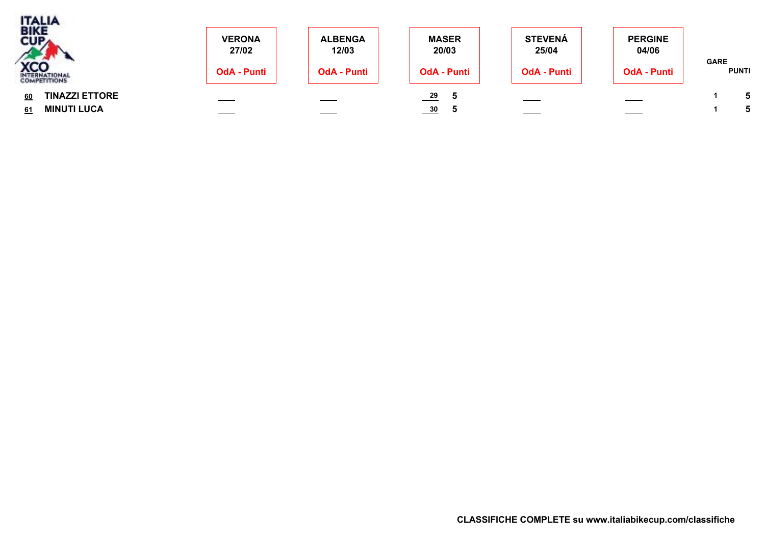| <b>TALIA</b><br>BIKE<br>CUPA | <b>VERONA</b><br>27/02 | <b>ALBENGA</b><br>12/03 | <b>MASER</b><br>20/03 | <b>STEVENÁ</b><br>25/04 | <b>PERGINE</b><br>04/06 |                             |  |
|------------------------------|------------------------|-------------------------|-----------------------|-------------------------|-------------------------|-----------------------------|--|
| <b>XCO</b><br>INTERNATIONAL  | <b>OdA - Punti</b>     | <b>OdA - Punti</b>      | <b>OdA - Punti</b>    | <b>OdA - Punti</b>      | <b>OdA - Punti</b>      | <b>GARE</b><br><b>PUNTI</b> |  |
| <b>TINAZZI ETTORE</b><br>60  |                        |                         | 29                    |                         |                         |                             |  |
| <b>MINUTI LUCA</b><br>61     |                        |                         | $\frac{30}{2}$<br>ಾ   |                         |                         |                             |  |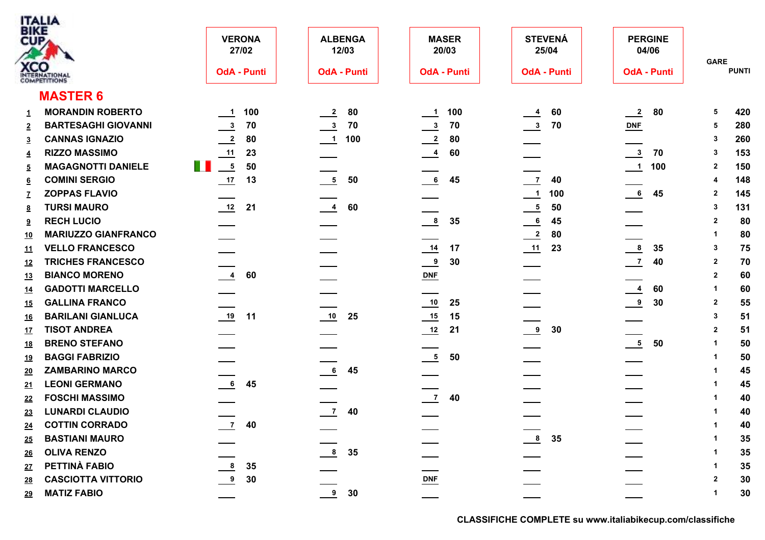|                    | <b>ITALIA</b>                   |                               |                         |                                 |                             |                                   |                               |
|--------------------|---------------------------------|-------------------------------|-------------------------|---------------------------------|-----------------------------|-----------------------------------|-------------------------------|
| <b>BIKE</b><br>CUP |                                 | <b>VERONA</b><br>27/02        | <b>ALBENGA</b><br>12/03 | <b>MASER</b><br>20/03           | <b>STEVENÁ</b><br>25/04     | <b>PERGINE</b><br>04/06           |                               |
|                    | <b>XCO</b><br>INTERNATIONAL     | <b>OdA - Punti</b>            | <b>OdA - Punti</b>      | <b>OdA - Punti</b>              | <b>OdA - Punti</b>          | <b>OdA - Punti</b>                | <b>GARE</b><br><b>PUNTI</b>   |
|                    | <b>MASTER 6</b>                 |                               |                         |                                 |                             |                                   |                               |
| 1                  | <b>MORANDIN ROBERTO</b>         | 100<br>$-1$                   | 80<br>$\frac{2}{2}$     | 100<br>$\overline{\phantom{0}}$ | 60<br>$\overline{4}$        | 80<br>$\frac{2}{2}$               | 420<br>5                      |
| $\overline{2}$     | <b>BARTESAGHI GIOVANNI</b>      | $\frac{3}{2}$<br>70           | 70<br>$\mathbf{3}$      | $\frac{3}{2}$<br>70             | 70<br>$^{\circ}$            | $DNF$                             | 280<br>5                      |
| 3                  | <b>CANNAS IGNAZIO</b>           | $\overline{2}$<br>80          | 100<br>$\blacksquare$ 1 | 80<br>$\frac{2}{2}$             |                             |                                   | 260<br>3                      |
| 4                  | <b>RIZZO MASSIMO</b>            | 11<br>23                      |                         | 60<br>$\frac{4}{1}$             |                             | $\overline{\mathbf{3}}$<br>70     | 153<br>3                      |
| 5                  | H.<br><b>MAGAGNOTTI DANIELE</b> | $-5$<br>50                    |                         |                                 |                             | 100<br>$\overline{\phantom{0}}$ 1 | 150<br>$\mathbf{2}$           |
| <u>6</u>           | <b>COMINI SERGIO</b>            | $\frac{17}{1}$<br>13          | 5<br>50                 | $6\overline{6}$<br>45           | $\overline{7}$<br>40        |                                   | 148                           |
|                    | <b>ZOPPAS FLAVIO</b>            |                               |                         |                                 | 100<br>$\frac{1}{\sqrt{2}}$ | $\overline{\phantom{0}}$ 6<br>45  | 145<br>$\mathbf{2}$           |
| 8                  | <b>TURSI MAURO</b>              | $\frac{12}{1}$<br>21          | 60<br>$\overline{4}$    |                                 | $\frac{5}{1}$<br>50         |                                   | 131<br>-3                     |
| 9                  | <b>RECH LUCIO</b>               |                               |                         | $\frac{8}{2}$<br>35             | 45<br>$\frac{6}{1}$         |                                   | 80<br>$\overline{2}$          |
| <u>10</u>          | <b>MARIUZZO GIANFRANCO</b>      |                               |                         |                                 | $\frac{2}{2}$<br>80         |                                   | 80<br>-1                      |
| <u>11</u>          | <b>VELLO FRANCESCO</b>          |                               |                         | $\frac{14}{1}$<br>17            | 23                          | $\frac{8}{1}$<br>35               | 75<br>$\mathbf{3}$            |
| 12                 | <b>TRICHES FRANCESCO</b>        |                               |                         | $\frac{9}{2}$<br>30             |                             | $\frac{7}{2}$<br>40               | $\overline{2}$<br>70          |
| <u>13</u>          | <b>BIANCO MORENO</b>            | $\overline{\mathbf{4}}$<br>60 |                         | $\underline{\text{DNF}}$        |                             |                                   | $\overline{2}$<br>60          |
| <u>14</u>          | <b>GADOTTI MARCELLO</b>         |                               |                         |                                 |                             | 60<br>$\frac{4}{1}$               | 60<br>-1                      |
| <u>15</u>          | <b>GALLINA FRANCO</b>           |                               |                         | 25                              |                             | 30<br>$\frac{9}{2}$               | 55<br>$\overline{\mathbf{2}}$ |
| <u>16</u>          | <b>BARILANI GIANLUCA</b>        | $\frac{19}{1}$<br>11          | 10<br>25                | 15                              |                             |                                   | 51<br>-3                      |
| <u>17</u>          | <b>TISOT ANDREA</b>             |                               |                         | 21                              | $\frac{9}{2}$<br>30         |                                   | 51<br>$\overline{2}$          |
| <u>18</u>          | <b>BRENO STEFANO</b>            |                               |                         |                                 |                             | $\overline{\phantom{0}}$<br>50    | 50<br>-1                      |
| <u> 19</u>         | <b>BAGGI FABRIZIO</b>           |                               |                         | $\frac{5}{2}$<br>50             |                             |                                   | 50<br>-1                      |
| <u>20</u>          | <b>ZAMBARINO MARCO</b>          |                               | 6 <sup>1</sup><br>45    |                                 |                             |                                   | 45                            |
| 21                 | <b>LEONI GERMANO</b>            | $6\overline{6}$<br>45         |                         |                                 |                             |                                   | 45                            |
| 22                 | <b>FOSCHI MASSIMO</b>           |                               |                         | $\overline{\phantom{0}}$<br>40  |                             |                                   | 40                            |
| 23                 | <b>LUNARDI CLAUDIO</b>          |                               | $\frac{7}{2}$ 40        |                                 |                             |                                   | 40<br>-1                      |
| 24                 | <b>COTTIN CORRADO</b>           | $\frac{7}{ }$ 40              |                         |                                 |                             |                                   | 40<br>$\mathbf 1$             |
| 25                 | <b>BASTIANI MAURO</b>           |                               |                         |                                 | $\frac{8}{2}$<br>35         |                                   | 35                            |
| 26                 | <b>OLIVA RENZO</b>              |                               | 35<br>8                 |                                 |                             |                                   | 35                            |
| <u>27</u>          | PETTINÀ FABIO                   | 8<br>35                       |                         |                                 |                             |                                   | 35                            |
| 28                 | <b>CASCIOTTA VITTORIO</b>       | 9<br>30                       |                         | $DNF$                           |                             |                                   | 30<br>$\overline{2}$          |
| 29                 | <b>MATIZ FABIO</b>              |                               | $\frac{9}{2}$ 30        |                                 |                             |                                   | 30                            |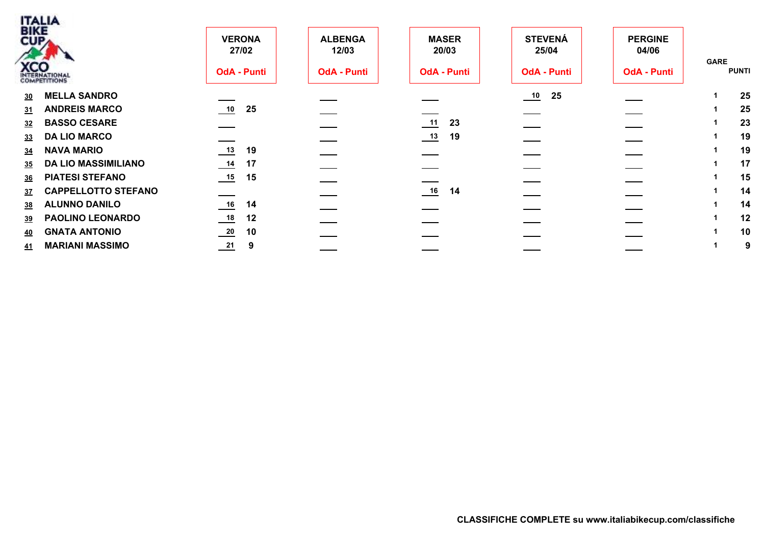| <b>BIKE</b><br>CUP <sub>4</sub> | <b>ITALIA</b><br><b>XCO</b><br>INTERNATIONAL | <b>VERONA</b><br>27/02<br><b>OdA - Punti</b> | <b>ALBENGA</b><br>12/03<br><b>OdA - Punti</b> | <b>MASER</b><br>20/03<br><b>OdA - Punti</b> | <b>STEVENÁ</b><br>25/04<br><b>OdA - Punti</b> | <b>PERGINE</b><br>04/06<br><b>OdA - Punti</b> | <b>GARE</b><br><b>PUNTI</b> |
|---------------------------------|----------------------------------------------|----------------------------------------------|-----------------------------------------------|---------------------------------------------|-----------------------------------------------|-----------------------------------------------|-----------------------------|
| 30                              | <b>MELLA SANDRO</b>                          |                                              |                                               |                                             | 25                                            |                                               | 25                          |
| 31                              | <b>ANDREIS MARCO</b>                         | 10<br>25                                     |                                               |                                             |                                               |                                               | 25                          |
| 32                              | <b>BASSO CESARE</b>                          |                                              |                                               | 23<br>11                                    |                                               |                                               | 23                          |
| 33                              | <b>DA LIO MARCO</b>                          |                                              |                                               | 19<br>$\underline{\hspace{1cm}}$ 13         |                                               |                                               | 19                          |
| 34                              | <b>NAVA MARIO</b>                            | $\frac{13}{2}$<br>19                         |                                               |                                             |                                               |                                               | 19                          |
| 35                              | <b>DA LIO MASSIMILIANO</b>                   | $\frac{14}{1}$<br>17                         |                                               |                                             |                                               |                                               | 17                          |
| 36                              | <b>PIATESI STEFANO</b>                       | 15<br>15                                     |                                               |                                             |                                               |                                               | 15                          |
| <u>37</u>                       | <b>CAPPELLOTTO STEFANO</b>                   |                                              |                                               | 16<br>14                                    |                                               |                                               | 14                          |
| 38                              | <b>ALUNNO DANILO</b>                         | 16<br>14                                     |                                               |                                             |                                               |                                               | 14                          |
| <u>39</u>                       | <b>PAOLINO LEONARDO</b>                      | 18<br>12                                     |                                               |                                             |                                               |                                               | 12                          |
| <u>40</u>                       | <b>GNATA ANTONIO</b>                         | $\frac{20}{2}$<br>10                         |                                               |                                             |                                               |                                               | 10                          |
| <u>41</u>                       | <b>MARIANI MASSIMO</b>                       | $\frac{21}{2}$<br>9                          |                                               |                                             |                                               |                                               | 9                           |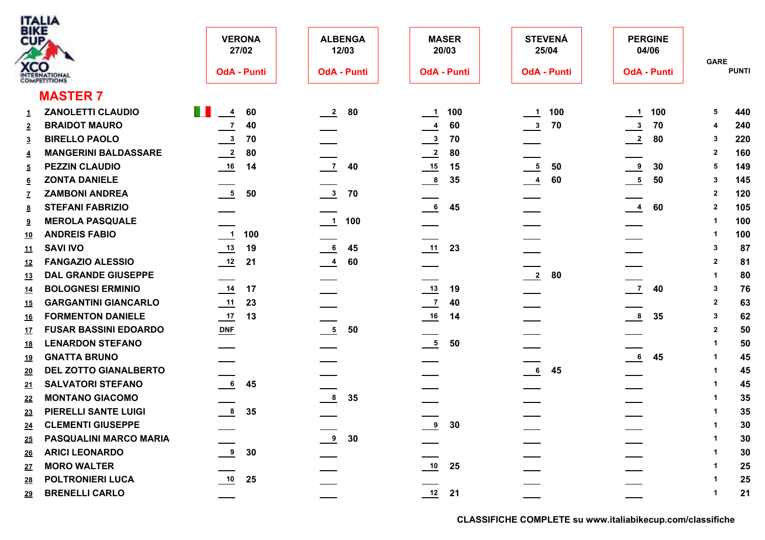|                           | <b>ITALIA</b>                              |                                 |                                   |                                 |                         |                                 |                             |
|---------------------------|--------------------------------------------|---------------------------------|-----------------------------------|---------------------------------|-------------------------|---------------------------------|-----------------------------|
| <b>BIKE</b><br><b>CUP</b> |                                            | <b>VERONA</b><br>27/02          | <b>ALBENGA</b><br>12/03           | <b>MASER</b><br>20/03           | <b>STEVENÁ</b><br>25/04 | <b>PERGINE</b><br>04/06         |                             |
|                           | <b>XCO</b><br>INTERNATIONAL                | <b>OdA - Punti</b>              | <b>OdA - Punti</b>                | <b>OdA - Punti</b>              | <b>OdA - Punti</b>      | <b>OdA - Punti</b>              | <b>GARE</b><br><b>PUNTI</b> |
|                           | <b>MASTER 7</b>                            |                                 |                                   |                                 |                         |                                 |                             |
| 1                         | $\mathbb{R}^n$<br><b>ZANOLETTI CLAUDIO</b> | $\overline{\phantom{0}4}$<br>60 | 80<br>$\frac{2}{\sqrt{2}}$        | 100<br>$\overline{\phantom{a}}$ | 100<br>$\blacksquare$   | 100<br>$\overline{\phantom{0}}$ | 440<br>5                    |
| $\overline{2}$            | <b>BRAIDOT MAURO</b>                       | $\overline{7}$<br>40            |                                   | 60<br>$\frac{4}{1}$             | 70<br>$^{\circ}$        | $\frac{3}{2}$<br>70             | 240<br>4                    |
| 3                         | <b>BIRELLO PAOLO</b>                       | $\frac{3}{2}$<br>70             |                                   | 70<br>$\frac{3}{2}$             |                         | $\overline{\phantom{2}}$<br>80  | 220<br>3                    |
| $\overline{4}$            | <b>MANGERINI BALDASSARE</b>                | $\overline{2}$<br>80            |                                   | 80<br>$\frac{2}{2}$             |                         |                                 | 160<br>$\mathbf{2}$         |
| $\overline{5}$            | <b>PEZZIN CLAUDIO</b>                      | 14                              | $\overline{7}$<br>40              | 15                              | $\frac{5}{2}$<br>50     | $\frac{9}{2}$<br>30             | 149<br>5                    |
| <u>6</u>                  | <b>ZONTA DANIELE</b>                       |                                 |                                   | $\frac{8}{2}$<br>35             | 60<br>$\frac{4}{1}$     | $\frac{5}{1}$<br>50             | 145<br>3                    |
|                           | <b>ZAMBONI ANDREA</b>                      | $\frac{5}{2}$<br>50             | $\frac{3}{2}$<br>70               |                                 |                         |                                 | 120<br>$\mathbf{2}$         |
| <u>8</u>                  | <b>STEFANI FABRIZIO</b>                    |                                 |                                   | 6<br>45                         |                         | $\frac{4}{1}$<br>60             | 105<br>$\overline{2}$       |
| $9^{\circ}$               | <b>MEROLA PASQUALE</b>                     |                                 | 100<br>$\overline{\phantom{0}}$ 1 |                                 |                         |                                 | 100<br>-1                   |
| <u>10</u>                 | <b>ANDREIS FABIO</b>                       | 100<br>$\blacksquare$           |                                   |                                 |                         |                                 | 100<br>-1                   |
| <u>11</u>                 | <b>SAVI IVO</b>                            | $\frac{13}{2}$<br>19            | 45<br>6                           | $\frac{11}{2}$<br>23            |                         |                                 | 87<br>-3                    |
| <u>12</u>                 | <b>FANGAZIO ALESSIO</b>                    | 12<br>21                        | 60<br>$\overline{4}$              |                                 |                         |                                 | $\overline{2}$<br>81        |
| <u>13</u>                 | <b>DAL GRANDE GIUSEPPE</b>                 |                                 |                                   |                                 | $\frac{2}{2}$<br>80     |                                 | 80<br>-1                    |
| <u>14</u>                 | <b>BOLOGNESI ERMINIO</b>                   | 14<br>17                        |                                   | $\frac{13}{1}$<br>19            |                         | $\overline{7}$<br>40            | 76<br>-3                    |
| <u>15</u>                 | <b>GARGANTINI GIANCARLO</b>                | 11<br>23                        |                                   | $\overline{z}$<br>40            |                         |                                 | 63<br>$\overline{2}$        |
| <u>16</u>                 | <b>FORMENTON DANIELE</b>                   | $\frac{17}{1}$<br>13            |                                   | 14                              |                         | $\frac{8}{1}$<br>35             | 62<br>-3                    |
| <u>17</u>                 | <b>FUSAR BASSINI EDOARDO</b>               | $DNF$                           | $\frac{5}{2}$<br>50               |                                 |                         |                                 | 50<br>$\overline{2}$        |
| <u>18</u>                 | <b>LENARDON STEFANO</b>                    |                                 |                                   | $\overline{\phantom{0}}$<br>50  |                         |                                 | 50                          |
| <u> 19</u>                | <b>GNATTA BRUNO</b>                        |                                 |                                   |                                 |                         | $6\overline{6}$<br>45           | 45<br>-1                    |
| <u>20</u>                 | <b>DEL ZOTTO GIANALBERTO</b>               |                                 |                                   |                                 | 6 <sub>6</sub><br>45    |                                 | 45                          |
| 21                        | <b>SALVATORI STEFANO</b>                   | 6<br>45                         |                                   |                                 |                         |                                 | 45                          |
| 22                        | <b>MONTANO GIACOMO</b>                     |                                 | 35<br>8                           |                                 |                         |                                 | 35                          |
| 23                        | <b>PIERELLI SANTE LUIGI</b>                | $\frac{8}{1}$<br>35             |                                   |                                 |                         |                                 | 35<br>-1                    |
| 24                        | <b>CLEMENTI GIUSEPPE</b>                   |                                 |                                   | 9<br>30                         |                         |                                 | 30<br>$\overline{1}$        |
| 25                        | PASQUALINI MARCO MARIA                     |                                 | $\frac{9}{2}$ 30                  |                                 |                         |                                 | 30                          |
| 26                        | <b>ARICI LEONARDO</b>                      | 9 <sup>1</sup><br>30            |                                   |                                 |                         |                                 | 30                          |
| <u>27</u>                 | <b>MORO WALTER</b>                         |                                 |                                   | 10<br>25                        |                         |                                 | 25                          |
| 28                        | POLTRONIERI LUCA                           | 10<br>25                        |                                   |                                 |                         |                                 | 25                          |
| <u>29</u>                 | <b>BRENELLI CARLO</b>                      |                                 |                                   | $12$ 21                         |                         |                                 | 21                          |
|                           |                                            |                                 |                                   |                                 |                         |                                 |                             |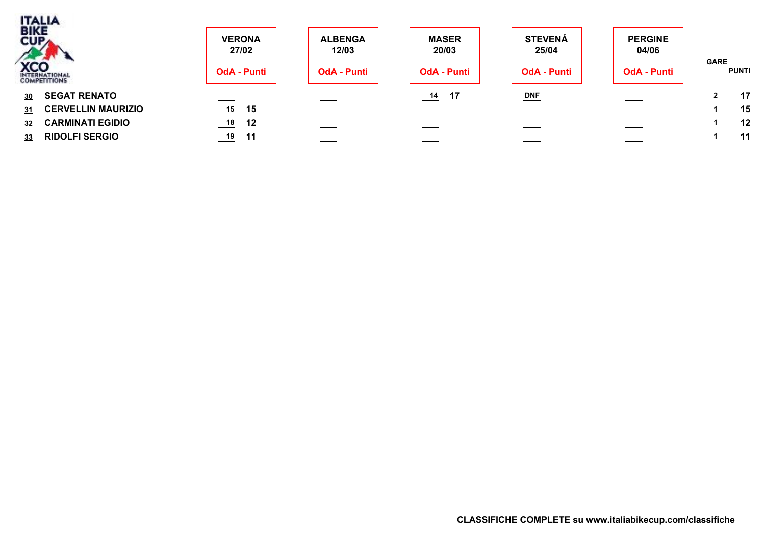|           | <b>TALIA</b><br>BIKE<br>CUPA | <b>VERONA</b><br>27/02 | <b>ALBENGA</b><br>12/03 | <b>MASER</b><br>20/03    | <b>STEVENÁ</b><br>25/04 | <b>PERGINE</b><br>04/06 |                             |
|-----------|------------------------------|------------------------|-------------------------|--------------------------|-------------------------|-------------------------|-----------------------------|
|           | <b>XCO</b><br>INTERNATIONAL  | <b>OdA - Punti</b>     | <b>OdA - Punti</b>      | <b>OdA - Punti</b>       | <b>OdA - Punti</b>      | <b>OdA - Punti</b>      | <b>GARE</b><br><b>PUNTI</b> |
| <u>30</u> | <b>SEGAT RENATO</b>          | ____                   |                         | 17<br>$\frac{14}{1}$     | $DNF$                   |                         | 17<br>2                     |
| 31        | <b>CERVELLIN MAURIZIO</b>    | $\frac{15}{1}$<br>15   | ——                      | $\overline{\phantom{a}}$ |                         |                         | 15                          |
| 32        | <b>CARMINATI EGIDIO</b>      | $\frac{18}{10}$<br>12  |                         |                          |                         |                         | 12                          |
| 33        | <b>RIDOLFI SERGIO</b>        | $\frac{19}{2}$<br>- 11 |                         |                          |                         |                         | 11                          |
|           |                              |                        |                         |                          |                         |                         |                             |